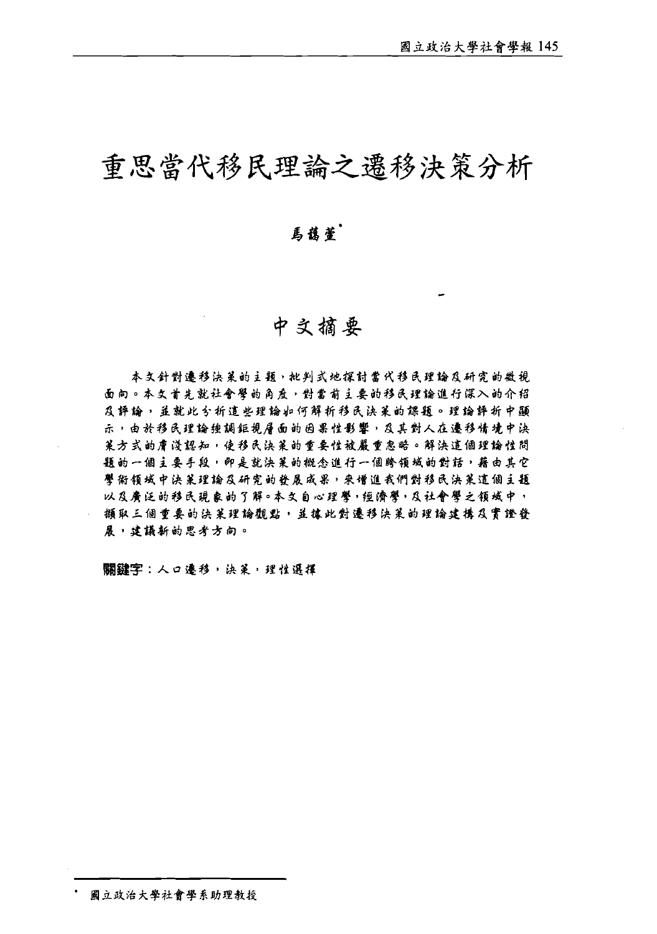# 重思當代移民理論之遷移決策分析

## 馬龍萱.

## 中文摘要

本文針對遷移決策的主題,批判式地探討當代移民理論及研究的微視 面向。本文首先就社會學的角度,對當前主要的移民理論進行深入的介绍 及辞输,益就此分析追些理输如何解析移民决策的課题。理输評析中顯 示,由於移民理論種調鉅視層面的因果性影響,及其對人在遷移情境中决 莱方式的唐淺認知,使移民決莱的重要性被嚴重忽略。解決這個理論性問 题的一個主要手段,即是就決策的概念進行一個跨領域的對話,藉由其它 譬衔领域中決策理論及研究的發展成果,來增進我們對移民決策這個主題 以及赓泛的移民现象的了解。本文自心理謦·短谵謦,及社會學之領域中, 撷取三個重要的決策理論觀點,並據此對遷移決策的理論建構及實證發 展,建議新的思考方向。

關鍵字:人口遷移,決策,理性選擇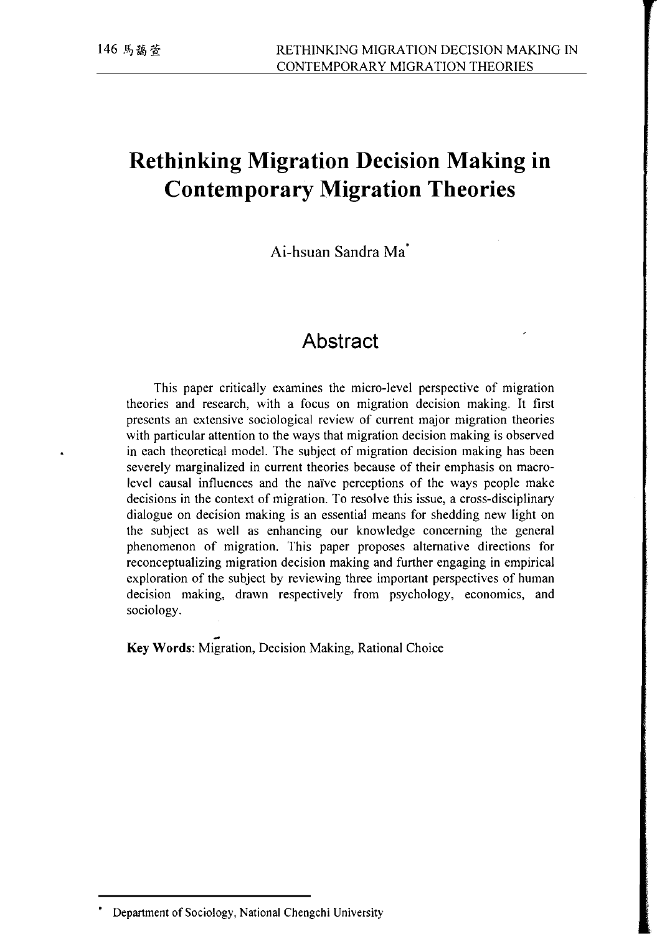# **Rethinking Migration Decision Making in Contemporary Migration Theories**

Ai-hsuan Sandra Ma<sup>\*</sup>

## **Abstract**

This paper critically examines the micro-level perspective of migration theories and research, with a focus on migration decision making. It first presents an extensive sociological review of current major migration theories with particular attention to the ways that migration decision making is observed in each theoretical model. The subject of migration decision making has been severely marginalized in current theories because of their emphasis on macrolevel causal influences and the naïve perceptions of the ways people make decisions in the context of migration. To resolve this issue, a cross-disciplinary dialogue on decision making is an essential means for shedding new light on the subject as well as enhancing our knowledge concerning the general phenomenon of migration. This paper proposes alternative directions for reconceptualizing migration decision making and further engaging in empirical exploration of the subject by reviewing three important perspectives of human decision making, drawn respectively from psychology, economics, and sociology.

- **Key** Words: Migration, Decision Making, Rational Choice

<sup>&#</sup>x27;Department of Sociology, National Chengchi University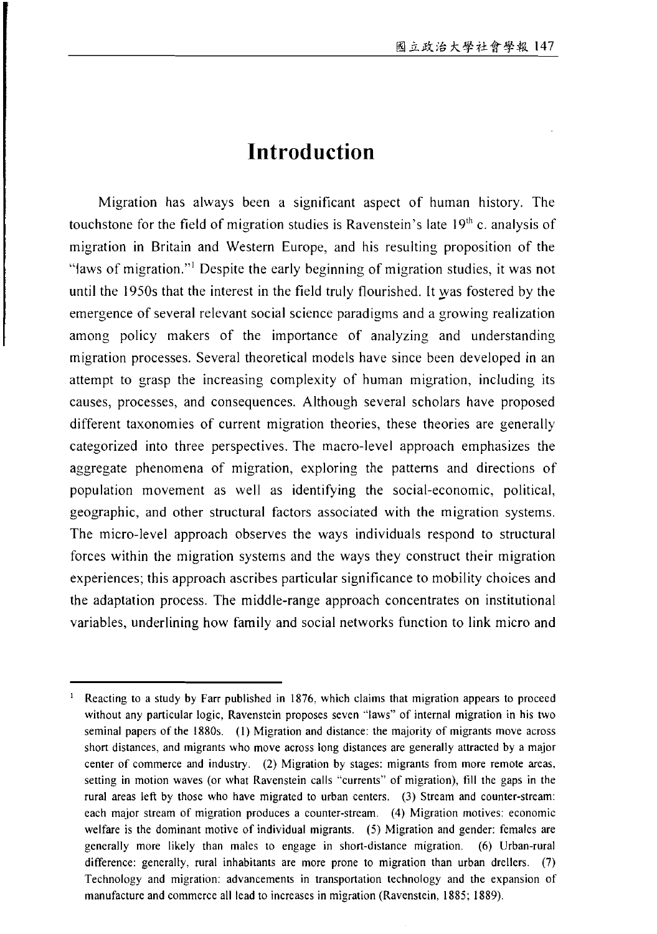## **Introduction**

Migration has always been a significant aspect of human history. The touchstone for the field of migration studies is Ravenstein's late  $19<sup>th</sup>$  c. analysis of migration in Britain and Western Europe, and his resulting proposition of the "laws of migration."' Despite the early beginning of migration studies, it was not until the 1950s that the interest in the field truly flourished. It \_was fostered by the emergence of several relevant social science paradigms and a growing realization among policy makers of the importance of analyzing and understanding migration processes. Several theoretical models have since been developed in an attempt to grasp the increasing complexity of human migration, including its causes, processes, and consequences. Although several scholars have proposed different taxonomies of current migration theories, these theories are generally categorized into three perspectives. The macro-level approach emphasizes the aggregate phenomena of migration, exploring the patterns and directions of population movement as well as identifying the social-economic, political, geographic, and other structural factors associated with the migration systems. The micro-level approach observes the ways individuals respond to structural forces within the migration systems and the ways they construct their migration experiences; this approach ascribes particular significance to mobility choices and the adaptation process. The middle-range approach concentrates on institutional variables, underlining how family and social networks function to link micro and

<sup>&</sup>lt;sup>1</sup> Reacting to a study by Farr published in 1876, which claims that migration appears to proceed without any particular logic, Ravenstein proposes seven "laws" of internal migration in his two seminal papers of the 1880s. (I) Migration and distance: the majority of migrants move across short distances: and migrants who move across long distances are generally attracted by a major center of commerce and industry. (2) Migration by stages: migrants from more remote areas. setting in motion waves (or what Ravenstein calls "currents" of migration), till the gaps in the rural areas left by those who have migrated to urban centers. (3) Stream and counter-stream: each major stream of migration produces a counter-stream. (4) Migration motives: economic welfare is the dominant motive of individual migrants. (5) Migration and gender: females are generally more likely than males to engage in short-distance migration. (6) Urban-rural difference: generally, rural inhabitants are more prone to migration than urban drellers. (7) Technology and migration: advancements in transportation technology and the expansion of manufacture and commerce all lead to increases in migration (Ravenstein, 1885; 1889).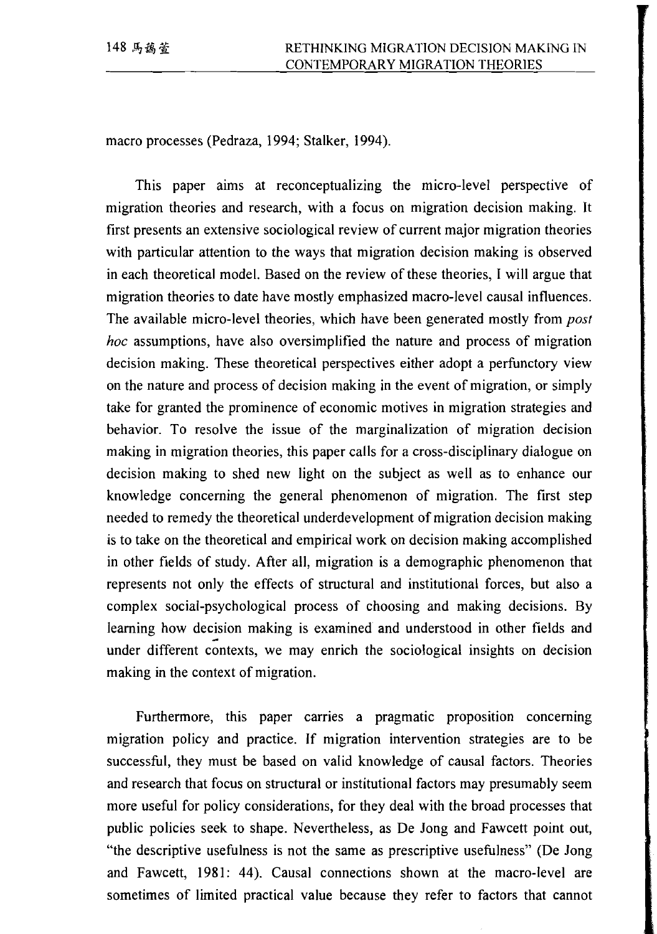macro processes (Pedraza, 1994; Stalker, 1994).

This paper aims at reconceptualizing the micro-level perspective of migration theories and research, with a focus on migration decision making. It first presents an extensive sociological review of current major migration theories with particular attention to the ways that migration decision making is observed in each theoretical model. Based on the review of these theories, I will argue that migration theories to date have mostly emphasized macro-level causal influences. The available micro-level theories, which have been generated mostly from *post hoc* assumptions, have also oversimplified the nature and process of migration decision making. These theoretical perspectives either adopt a perfunctory view on the nature and process of decision making in the event of migration, or simply take for granted the prominence of economic motives in migration strategies and behavior. To resolve the issue of the marginalization of migration decision making in migration theories, this paper calls for a cross-disciplinary dialogue on decision making to shed new light on the subject as well as to enhance our knowledge concerning the general phenomenon of migration. The first step needed to remedy the theoretical underdevelopment of migration decision making is to take on the theoretical and empirical work on decision making accomplished in other fields of study. After all, migration is a demographic phenomenon that represents not only the effects of structural and institutional forces, but also a complex social-psychological process of choosing and making decisions. By learning how decision making is examined and understood in other fields and under different contexts, we may enrich the sociological insights on decision making in the context of migration.

Furthermore, this paper carries a pragmatic proposition concerning migration policy and practice. If migration intervention strategies are to be successful, they must be based on valid knowledge of causal factors. Theories and research that focus on structural or institutional factors may presumably seem more useful for policy considerations, for they deal with the broad processes that public policies seek to shape. Nevertheless, as De Jong and Fawcett point out, "the descriptive usefulness is not the same as prescriptive usefulness" (De Jong and Fawcett, 1981: 44). Causal connections shown at the macro-level are sometimes of limited practical value because they refer to factors that cannot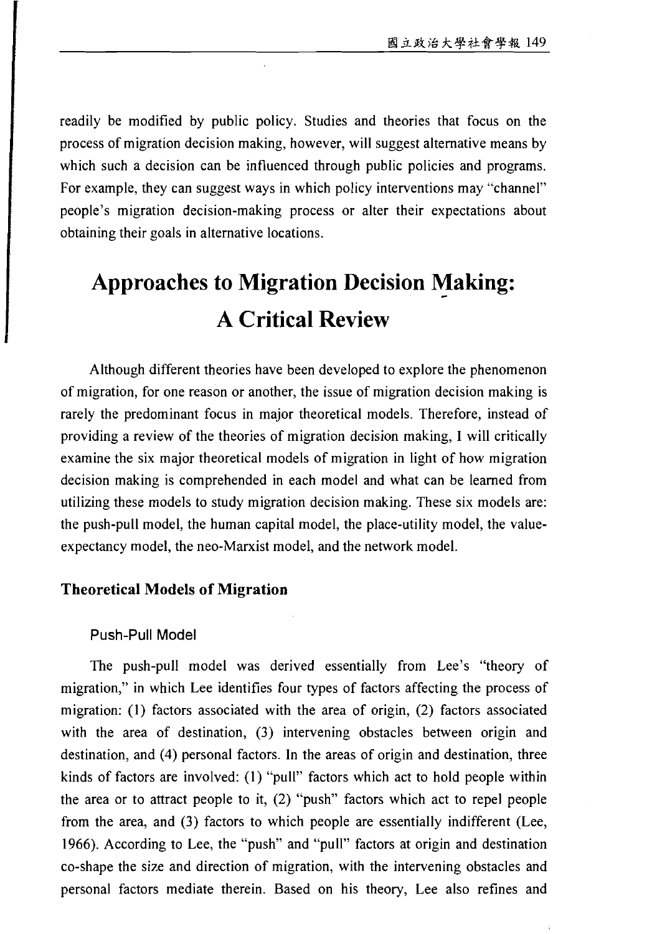readily be modified by public policy. Studies and theories that focus on the process of migration decision making, however, will suggest alternative means by which such a decision can be influenced through public policies and programs. For example, they can suggest ways in which policy interventions may "channel" people's migration decision-making process or alter their expectations about obtaining their goals in alternative locations.

# **Approaches to Migration Decision Making:** - **A Critical Review**

Although different theories have been developed to explore the phenomenon of migration, for one reason or another, the issue of migration decision making is rarely the predominant focus in major theoretical models. Therefore, instead of providing a review of the theories of migration decision making, I will critically examine the six major theoretical models of migration in light of how migration decision making is comprehended in each model and what can be learned from utilizing these models to study migration decision making. These six models are: the push-pull model, the human capital model, the place-utility model, the valueexpectancy model, the neo-Marxist model, and the network model.

#### **Theoretical Models of Migration**

#### Push-Pull Model

The push-pull model was derived essentially from Lee's "theory of migration," in which Lee identifies four types of factors affecting the process of migration: (I) factors associated with the area of origin, (2) factors associated with the area of destination, (3) intervening obstacles between origin and destination, and (4) personal factors. In the areas of origin and destination, three kinds of factors are involved: (1) "pull" factors which act to hold people within the area or to attract people to it, (2) "push" factors which act to repel people from the area, and (3) factors to which people are essentially indifferent (Lee, 1966). According to Lee, the "push" and "pull" factors at origin and destination co-shape the size and direction of migration, with the intervening obstacles and personal factors mediate therein. Based on his theory, Lee also refines and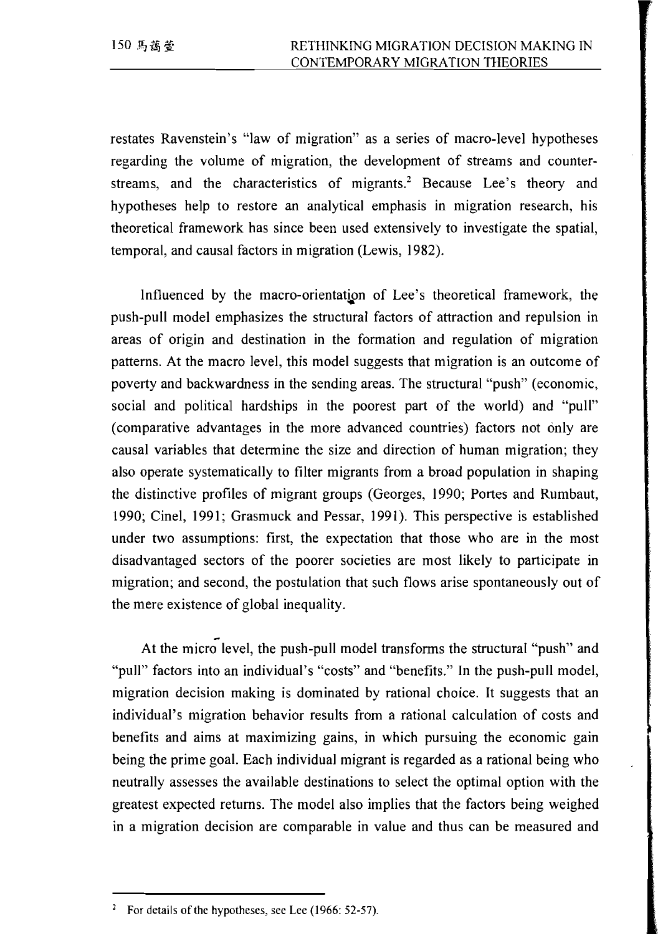restates Ravenstein's "law of migration" as a series of macro-level hypotheses regarding the volume of migration, the development of streams and counterstreams, and the characteristics of migrants.<sup>2</sup> Because Lee's theory and hypotheses help to restore an analytical emphasis in migration research, his theoretical framework has since been used extensively to investigate the spatial, temporal, and causal factors in migration (Lewis, 1982).

lnfluenced by the macro-orientation of Lee's theoretical framework, the push-pull model emphasizes the structural factors of attraction and repulsion in areas of origin and destination in the formation and regulation of migration patterns. At the macro level, this model suggests that migration is an outcome of poverty and backwardness in the sending areas. The structural "push" (economic, social and political hardships in the poorest part of the world) and "pull" (comparative advantages in the more advanced countries) factors not only are causal variables that determine the size and direction of human migration; they also operate systematically to filter migrants from a broad population in shaping the distinctive profiles of migrant groups (Georges, 1990; Portes and Rumbaut, 1990; Cinel, 1991; Grasmuck and Pessar, 1991). This perspective is established under two assumptions: first, the expectation that those who are in the most disadvantaged sectors of the poorer societies are most likely to participate in migration; and second, the postulation that such flows arise spontaneously out of the mere existence of global inequality.

At the micro<sup>l</sup>evel, the push-pull model transforms the structural "push" and "pull" factors into an individual's "costs" and "benefits." In the push-pull model, migration decision making is dominated by rational choice. It suggests that an individual's migration behavior results from a rational calculation of costs and benefits and aims at maximizing gains, in which pursuing the economic gain being the prime goal. Each individual migrant is regarded as a rational being who . neutrally assesses the available destinations to select the optimal option with the greatest expected returns. The model also implies that the factors being weighed in a migration decision are comparable in value and thus can be measured and

<sup>&</sup>lt;sup>2</sup> For details of the hypotheses, see Lee (1966: 52-57).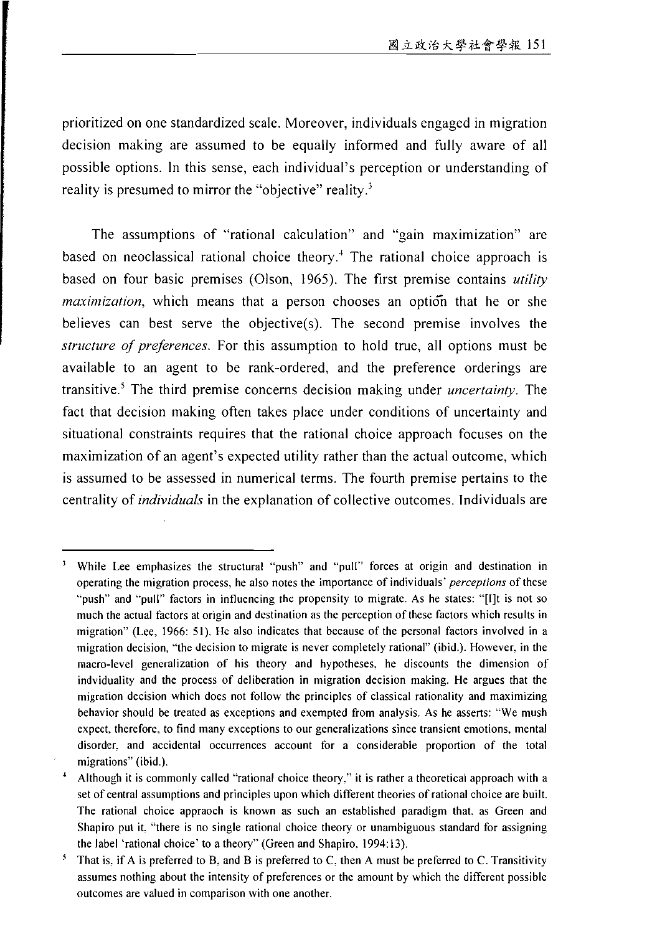prioritized on one standardized scale. Moreover, individuals engaged in migration decision making are assumed to be equally informed and fully aware of all possible options. In this sense, each individual's perception or understanding of reality is presumed to mirror the "objective" reality.<sup>3</sup>

The assumptions of "rational calculation" and "gain maximization" are based on neoclassical rational choice theory.<sup>4</sup> The rational choice approach is based on four basic premises (Olson, 1965). The first premise contains *utility maximization*, which means that a person chooses an option that he or she believes can best serve the objective(s). The second premise involves the structure of preferences. For this assumption to hold true, all options must be available to an agent to be rank-ordered, and the preference orderings are transitive.<sup>5</sup> The third premise concerns decision making under *uncertainty*. The fact that decision making often takes place under conditions of uncertainty and situational constraints requires that the rational choice approach focuses on the maximization of an agent's expected utility rather than the actual outcome, which is assumed to be assessed in numerical terms. The fourth premise pertains to the centrality of *individuals* in the explanation of collective outcomes. Individuals are

While Lee emphasizes the structural "push" and "pull" forces at origin and destination in operating the migration process, he also notes the importance of individuals' perceptions of these "push" and "pull" factors in influencing the propensity to migrate. As he states: "[I]t is not so much the actual factors at origin and destination as the perception of these factors which results in migration" (Lee, 1966: 51). He also indicates that because of the personal factors involved in a migration decision, "the decision to migrate is never completely rational" (ibid.). However, in the macro-level generalization of his theory and hypotheses, he discounts the dimension of indviduality and the process of deliberation in migration decision making. He argues that the migration decision which does not follow the principles of classical rationality and maximizing behavior should be treated as exceptions and exempted from analysis. As he asserts: "We mush expect, therefore, to find many exceptions to our generalizations since transient emotions, mental disorder, and accidental occurrences account for a considerable proportion of the total migrations" (ibid.).

Although it is commonly called "rational choice theory," it is rather a theoretical approach with a set of central assumptions and principles upon which different theories of rational choice are built. The rational choice appraoch is known as such an established paradigm that, as Green and Shapiro put it. "there is no single rational choice theory or unambiguous standard for assigning the label 'rational choice' to a theory" (Green and Shapiro, 1994:13).

That is, if A is preferred to B, and B is preferred to C, then A must be preferred to C. Transitivity assumes nothing about the intensity of preferences or the amount by which the different possible outcomes are valued in comparison with one another.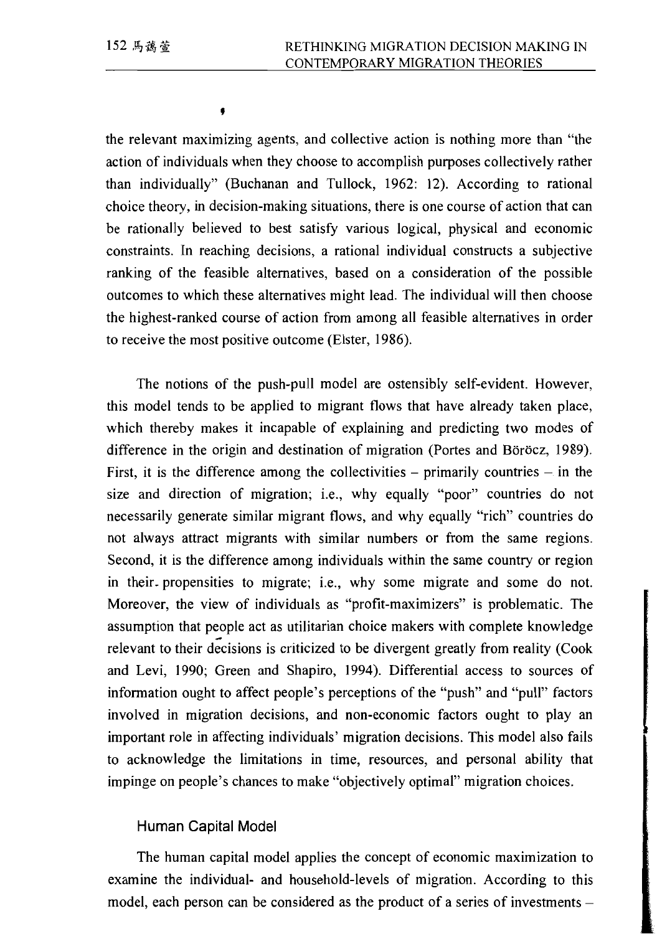the relevant maximizing agents, and collective action is nothing more than "the action of individuals when they choose to accomplish purposes collectively rather than individually" (Buchanan and Tullock, 1962: 12). According to rational choice theory, in decision-making situations, there is one course of action that can be rationally believed to best satisfy various logical, physical and economic constraints. In reaching decisions, a rational individual constructs a subjective ranking of the feasible alternatives, based on a consideration of the possible outcomes to which these alternatives might lead. The individual will then choose the highest-ranked course of action from among all feasible alternatives in order to receive the most positive outcome (Elster, 1986).

The notions of the push-pull model are ostensibly self-evident. However, this model tends to be applied to migrant flows that have already taken place, which thereby makes it incapable of explaining and predicting two modes of difference in the origin and destination of migration (Portes and Böröcz, 1989). First, it is the difference among the collectivities – primarily countries – in the size and direction of migration; i.e., why equally "poor" countries do not necessarily generate similar migrant flows, and why equally "rich" countries do not always attract migrants with similar numbers or from the same regions. Second, it is the difference among individuals within the same country or region in their propensities to migrate; i.e., why some migrate and some do not. Moreover, the view of individuals as "profit-maximizers" is problematic. The assumption that people act as utilitarian choice makers with complete knowledge relevant to their decisions is criticized to be divergent greatly from reality (Cook and Levi, 1990; Green and Shapiro, 1994). Differential access to sources of information ought to affect people's perceptions of the "push" and "pull" factors involved in migration decisions, and non-economic factors ought to play an important role in affecting individuals' migration decisions. This model also fails to acknowledge the limitations in time, resources, and personal ability that impinge on people's chances to make "objectively optimal" migration choices.

#### Human Capital Model

The human capital model applies the concept of economic maximization to examine the individual- and household-levels of migration. According to this model, each person can be considered as the product of a series of investments -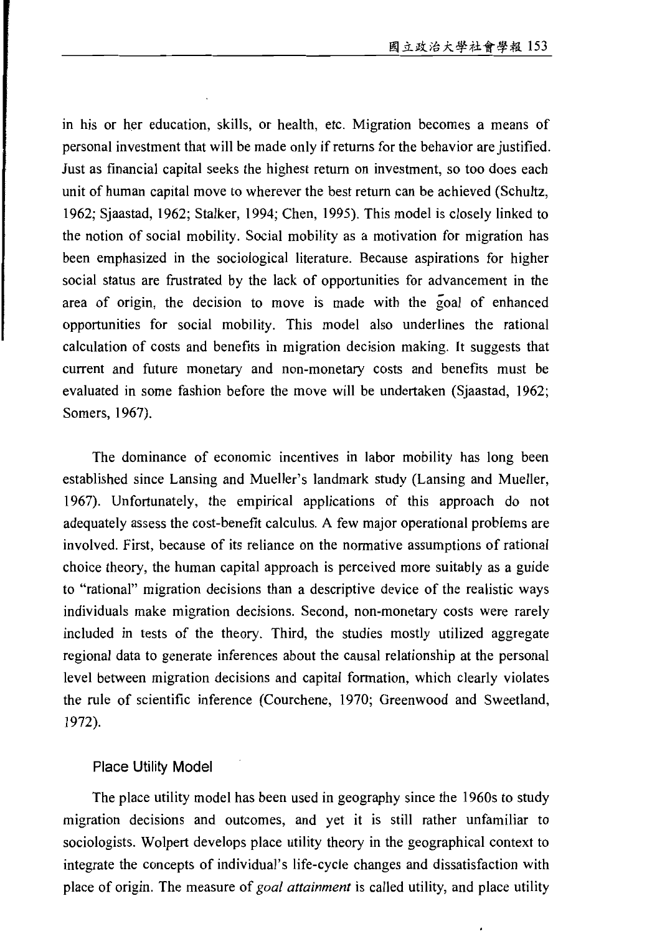in his or her education, skills, or health, etc. Migration becomes a means of personal investment that will be made only if returns for the behavior are justified. Just as financial capital seeks the highest return on investment, so too does each unit of human capital move to wherever the best return can be achieved (Schultz, 1962; Sjaastad, 1962; Stalker, 1994; Chen, 1995). This model is closely linked to the notion of social mobility. Social mobility as a motivation for migration has been emphasized in the sociological literature. Because aspirations for higher social status are frustrated by the lack of opportunities for advancement in the area of origin, the decision to move is made with the goal of enhanced opportunities for social mobility. This model also underlines the rational calculation of costs and benefits in migration decision making. It suggests that current and future monetary and non-monetary costs and benefits must be evaluated in some fashion before the move will be undertaken (Sjaastad, 1962; Somers, 1967).

The dominance of economic incentives in labor mobility has long been established since Lansing and Mueller's landmark study (Lansing and Mueller, 1967). Unfortunately, the empirical applications of this approach do not adequately assess the cost-benefit calculus. A few major operational problems are involved. First, because of its reliance on the normative assumptions of rational choice theory, the human capital approach is perceived more suitably as a guide to "rational" migration decisions than a descriptive device of the realistic ways individuals make migration decisions. Second, non-monetary costs were rarely included in tests of the theory. Third, the studies mostly utilized aggregate regional data to generate inferences about the causal relationship at the personal level between migration decisions and capital formation, which clearly violates the rule of scientific inference (Courchene, 1970; Greenwood and Sweetland, 1972).

#### **Place Utility Model**

The place utility model has been used in geography since the 1960s to study migration decisions and outcomes, and yet it is still rather unfamiliar to sociologists. Wolpert develops place utility theory in the geographical context to integrate the concepts of individual's life-cycle changes and dissatisfaction with place of origin. The measure of goal attainment is called utility, and place utility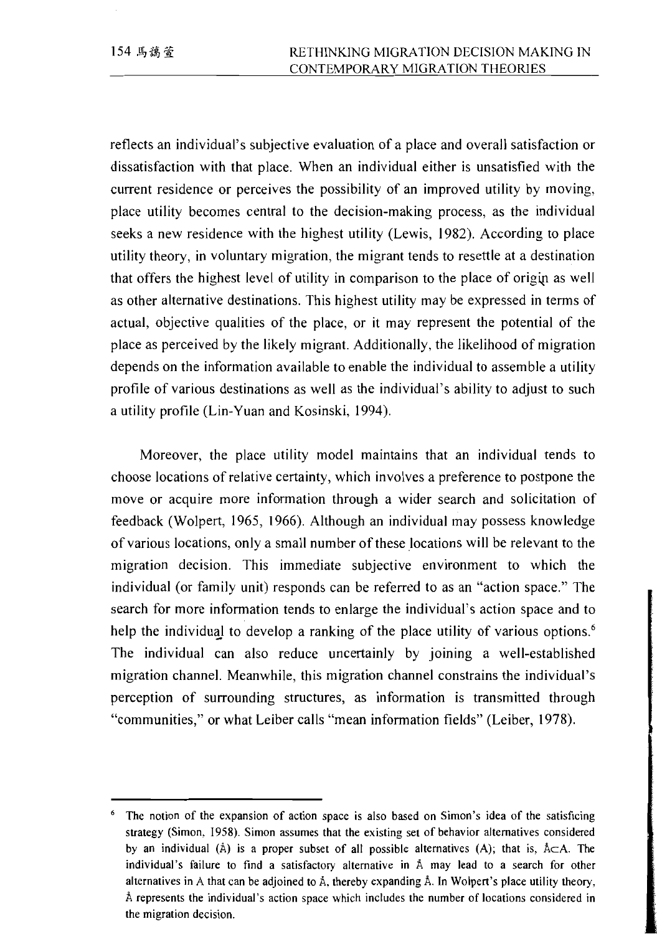reflects an individual's subjective evaluation of a place and overall satisfaction or dissatisfaction with that place. When an individual either is unsatisfied with the current residence or perceives the possibility of an improved utility by moving, place utility becomes central to the decision-making process, as the individual seeks a new residence with the highest utility (Lewis, 1982). According to place utility theory, in voluntary migration, the migrant tends to resettle at a destination that offers the highest level of utility in comparison to the place of origin as well as other alternative destinations. This highest utility may be expressed in terms of actual, objective qualities of the place, or it may represent the potential of the place as perceived by the likely migrant. Additionally, the likelihood of migration depends on the information available to enable the individual to assemble a utility profile of various destinations as well as the individual's ability to adjust to such a utility profile (Lin-Yuan and Kosinski, 1994).

Moreover, the place utility model maintains that an individual tends to choose locations of relative certainty, which involves a preference to postpone the move or acquire more information through a wider search and solicitation of feedback (Wolpert, 1965, 1966). Although an individual may possess knowledge of various locations, only a small number of these locations will be relevant to the migration decision. This immediate subjective environment to which the individual (or family unit) responds can be referred to as an "action space." The search for more information tends to enlarge the individual's action space and to help the individual to develop a ranking of the place utility of various options.<sup>6</sup> The individual can also reduce uncertainly by joining a well-established migration channel. Meanwhile, this migration channel constrains the individual's perception of surrounding structures, as information is transmitted through "communities," or what Leiber calls "mean information fields" (Leiber, 1978).

<sup>&</sup>lt;sup>6</sup> The notion of the expansion of action space is also based on Simon's idea of the satisficing strategy (Simon, 1958). Simon assumes that the existing set of behavior alternatives considered by an individual ( $\hat{A}$ ) is a proper subset of all possible alternatives (A); that is,  $\hat{A} \subset A$ . The individual's failure to find a satisfactory alternative in Å may lead to a search for other alternatives in A that can be adjoined to Å, thereby expanding Å. In Wolpert's place utility theory, Å represents the individual's action space which includes the number of locations considered in the migration decision.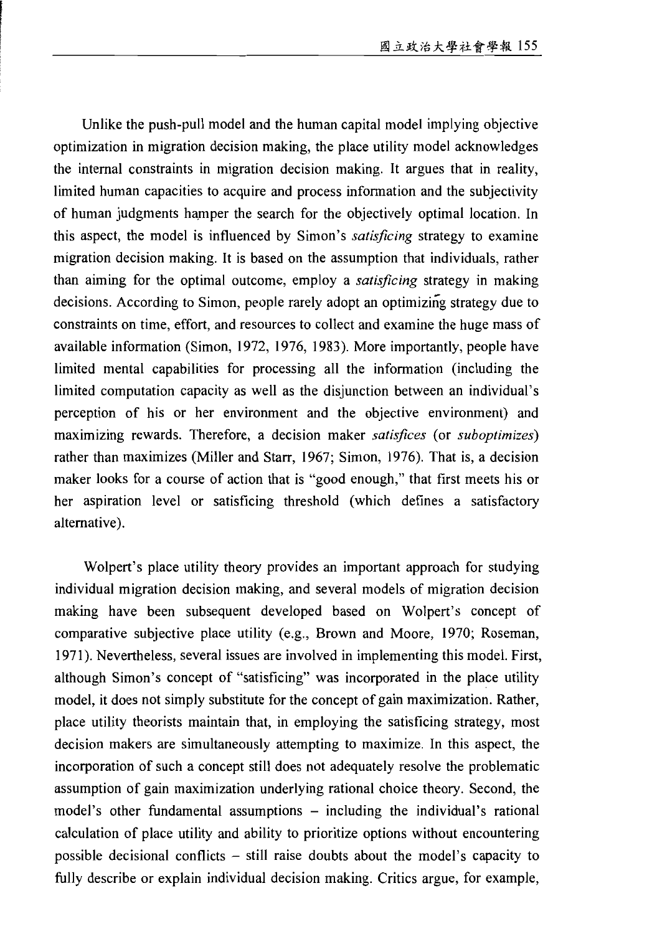Unlike the push-pull model and the human capital model implying objective optimization in migration decision making, the place utility model acknowledges the internal constraints in migration decision making. It argues that in reality, limited human capacities to acquire and process information and the subjectivity of human judgments hamper the search for the objectively optimal location. In this aspect, the model is influenced by Simon's satisficing strategy to examine migration decision making. It is based on the assumption that individuals, rather than aiming for the optimal outcome, employ a satisficing strategy in making decisions. According to Simon, people rarely adopt an optimizing strategy due to constraints on time, effort, and resources to collect and examine the huge mass of available information (Simon, 1972, 1976, 1983). More importantly, people have limited mental capabilities for processing all the information (including the limited computation capacity as well as the disjunction between an individual's perception of his or her environment and the objective environment) and maximizing rewards. Therefore, a decision maker satisfices (or suboptimizes) rather than maximizes (Miller and Starr, 1967; Simon, 1976). That is, a decision maker looks for a course of action that is "good enough," that first meets his or her aspiration level or satisficing threshold (which defines a satisfactory alternative).

Wolpert's place utility theory provides an important approach for studying individual migration decision making, and several models of migration decision making have been subsequent developed based on Wolpert's concept of comparative subjective place utility (e.g., Brown and Moore, 1970; Roseman, 1971). Nevertheless, several issues are involved in implementing this model. First, although Simon's concept of "satisficing" was incorporated in the place utility model, it does not simply substitute for the concept of gain maximization. Rather, place utility theorists maintain that, in employing the satisficing strategy, most decision makers are simultaneously attempting to maximize. In this aspect, the incorporation of such a concept still does not adequately resolve the problematic assumption of gain maximization underlying rational choice theory. Second, the model's other fundamental assumptions – including the individual's rational calculation of place utility and ability to prioritize options without encountering possible decisional conflicts – still raise doubts about the model's capacity to fully describe or explain individual decision making. Critics argue, for example,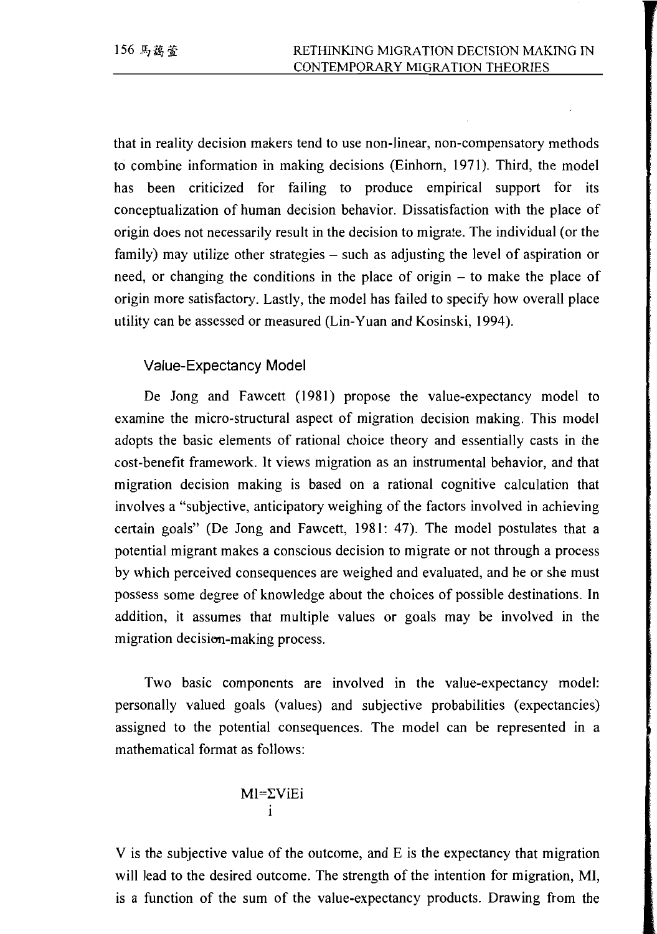that in reality decision makers tend to use non-linear, non-compensatory methods to combine information in making decisions (Einhorn, 1971). Third, the model has been criticized for failing to produce empirical support for its conceptualization of human decision behavior. Dissatisfaction with the place of origin does not necessarily result in the decision to migrate. The individual (or the family) may utilize other strategies – such as adjusting the level of aspiration or need, or changing the conditions in the place of origin - to make the place of origin more satisfactory. Lastly, the model has failed to specify how overall place utility can be assessed or measured (Lin-Yuan and Kosinski, 1994).

### Value-Expectancy Model

De Jong and Fawcett (1981) propose the value-expectancy model to examine the micro-structural aspect of migration decision making. This model adopts the basic elements of rational choice theory and essentially casts in the cost-benefit framework. It views migration as an instrumental behavior, and that migration decision making is based on a rational cognitive calculation that involves a "subjective, anticipatory weighing of the factors involved in achieving certain goals" (De Jong and Fawcett, 1981: 47). The model postulates that a potential migrant makes a conscious decision to migrate or not through a process by which perceived consequences are weighed and evaluated, and he or she must possess some degree of knowledge about the choices of possible destinations. In addition, it assumes that multiple values or goals may be involved in the migration decision-making process.

Two basic components are involved in the value-expectancy model: personally valued goals (values) and subjective probabilities (expectancies) assigned to the potential consequences. The model can be represented in a mathematical format as follows:

$$
\begin{array}{c}\nM \stackrel{1}{=} \sum V i E i \\
i\n\end{array}
$$

V is the subjective value of the outcome, and E is the expectancy that migration will lead to the desired outcome. The strength of the intention for migration, MI, is a function of the sum of the value-expectancy products. Drawing from the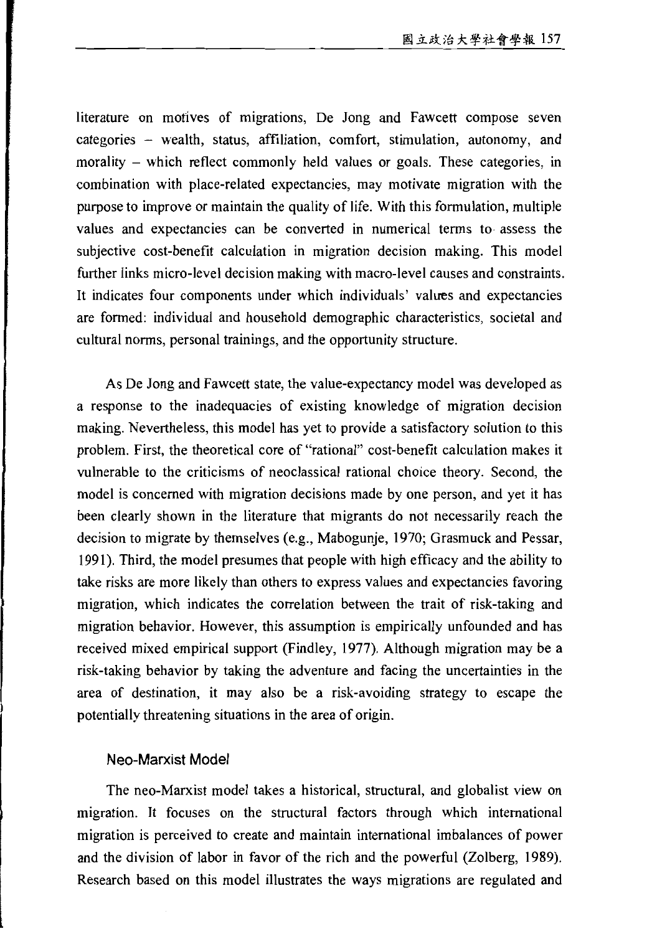literature on motives of migrations, De Jong and Fawcett compose seven categories – wealth, status, affiliation, comfort, stimulation, autonomy, and morality – which reflect commonly held values or goals. These categories, in combination with place-related expectancies, may motivate migration with the purpose to improve or maintain the quality of life. With this formulation, multiple values and expectancies can be converted in numerical terms to assess the subjective cost-benefit calculation in migration decision making. This model further links micro-level decision making with macro-level causes and constraints. It indicates four components under which individuals' values and expectancies are formed: individual and household demographic characteristics, societal and cultural norms, personal trainings, and the opportunity structure.

As De Jong and Fawcett state, the value-expectancy model was developed as a response to the inadequacies of existing knowledge of migration decision making. Nevertheless, this model has yet to provide a satisfactory solution to this problem. First, the theoretical core of "rational" cost-benefit calculation makes it vulnerable to the criticisms of neoclassical rational choice theory. Second, the model is concerned with migration decisions made by one person, and yet it has been clearly shown in the literature that migrants do not necessarily reach the decision to migrate by themselves (e.g., Mabogunje, 1970; Grasmuck and Pessar, 1991). Third, the model presumes that people with high efficacy and the ability to take risks are more likely than others to express values and expectancies favoring migration, which indicates the correlation between the trait of risk-taking and migration behavior. However, this assumption is empirically unfounded and has received mixed empirical support (Findley, 1977). Although migration may be a risk-taking behavior by taking the adventure and facing the uncertainties in the area of destination, it may also be a risk-avoiding strategy to escape the potentially threatening situations in the area of origin.

#### Neo-Marxist Model

The neo-Marxist model takes a historical, structural, and globalist view on migration. It focuses on the structural factors through which international migration is perceived to create and maintain international imbalances of power and the division of labor in favor of the rich and the powerful (Zolberg, 1989). Research based on this model illustrates the ways migrations are regulated and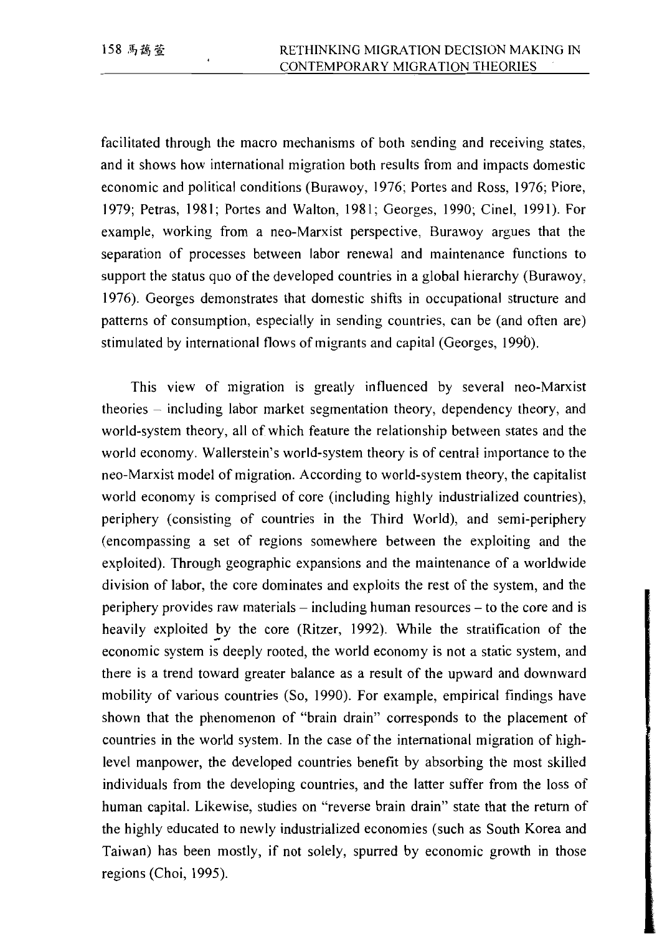facilitated through the macro mechanisms of both sending and receiving states, and it shows how international migration both results from and impacts domestic economic and political conditions (Burawoy, 1976; Portes and Ross, 1976; Piore, 1979; Petras, 1981; Portes and Walton, 1981; Georges, 1990; Cinel, 1991). For example, working from a neo-Marxist perspective, Burawoy argues that the separation of processes between labor renewal and maintenance functions to support the status quo of the developed countries in a global hierarchy (Burawoy, 1976). Georges demonstrates that domestic shifts in occupational structure and patterns of consumption, especially in sending countries, can be (and often are) stimulated by international flows of migrants and capital (Georges, 1990).

This view of migration is greatly influenced by several neo-Marxist theories – including labor market segmentation theory, dependency theory, and world-system theory, all of which feature the relationship between states and the world economy. Wallerstein's world-system theory is of central importance to the neo-Marxist model of migration. According to world-system theory, the capitalist world economy is comprised of core (including highly industrialized countries), periphery (consisting of countries in the Third World), and semi-periphery (encompassing a set of regions somewhere between the exploiting and the exploited). Through geographic expansions and the maintenance of a worldwide division of labor, the core dominates and exploits the rest of the system, and the periphery provides raw materials – including human resources – to the core and is heavily exploited by the core (Ritzer, 1992). While the stratification of the economic system is deeply rooted, the world economy is not a static system, and there is a trend toward greater balance as a result of the upward and downward mobility of various countries (So, 1990). For example, empirical findings have shown that the phenomenon of "brain drain" corresponds to the placement of countries in the world system. In the case of the international migration of highlevel manpower, the developed countries benefit by absorbing the most skilled individuals from the developing countries, and the latter suffer from the loss of human capital. Likewise, studies on "reverse brain drain" state that the return of the highly educated to newly industrialized economies (such as South Korea and Taiwan) has been mostly, if not solely, spurred by economic growth in those regions (Choi, 1995).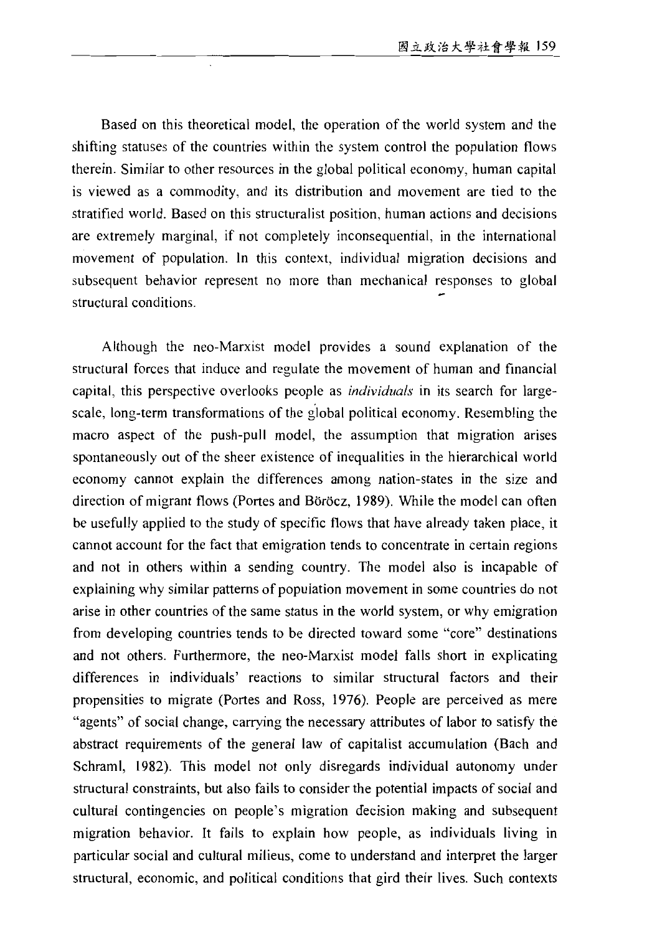Based on this theoretical model, the operation of the world system and the shifting statuses of the countries within the system control the population flows therein. Similar to other resources in the global political economy, human capital is viewed as a commodity, and its distribution and movement are tied to the stratified world. Based on this structuralist position, human actions and decisions are extremely marginal, if not completely inconsequential, in the international movement of population. In this context, individual migration decisions and subsequent behavior represent no more than mechanical responses to global structural conditions.

Although the neo-Marxist model provides a sound explanation of the structural forces that induce and regulate the movement of human and financial capital, this perspective overlooks people as *individuals* in its search for largescale, long-term transformations of the global political economy. Resembling the macro aspect of the push-pull model, the assumption that migration arises spontaneously out of the sheer existence of inequalities in the hierarchical world economy cannot explain the differences among nation-states in the size and direction of migrant flows (Portes and Böröcz, 1989). While the model can often be usefully applied to the study of specific flows that have already taken place, it cannot account for the fact that emigration tends to concentrate in certain regions and not in others within a sending country. The model also is incapable of explaining why similar patterns of population movement in some countries do not arise in other countries of the same status in the world system, or why emigration from developing countries tends to be directed toward some "core" destinations and not others. Furthermore, the neo-Marxist model falls short in explicating differences in individuals' reactions to similar structural factors and their propensities to migrate (Portes and Ross, 1976). People are perceived as mere "agents" of social change, carrying the necessary attributes of labor to satisfy the abstract requirements of the general law of capitalist accumulation (Bach and Schraml, 1982). This model not only disregards individual autonomy under structural constraints, but also fails to consider the potential impacts of social and cultural contingencies on people's migration decision making and subsequent migration behavior. It fails to explain how people, as individuals living in particular social and cultural milieus, come to understand and interpret the larger structural, economic, and political conditions that gird their lives. Such contexts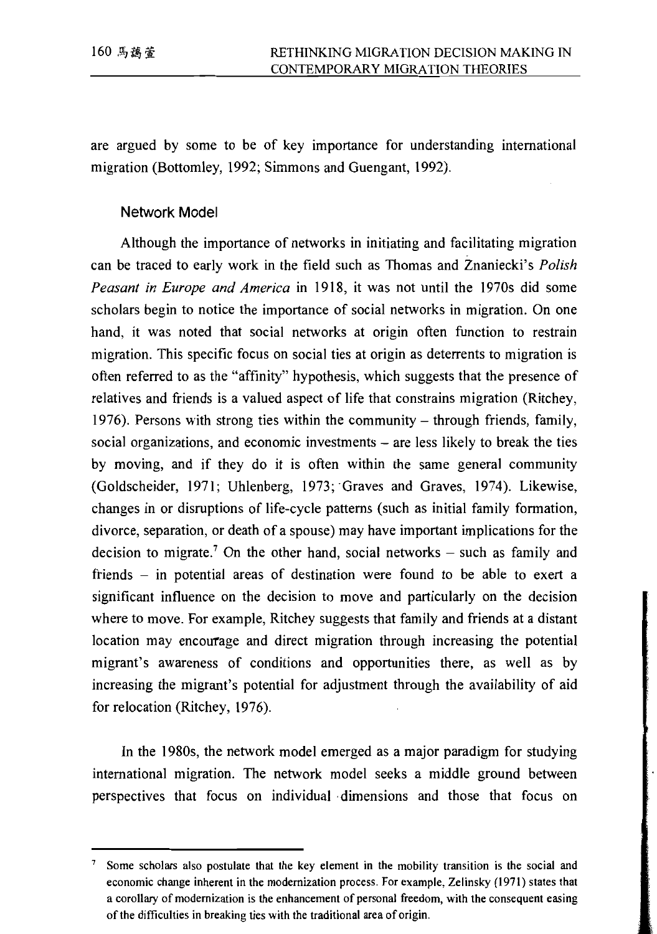are argued by some to be of key importance for understanding international migration (Bottomley, 1992; Simmons and Guengant, 1992).

#### Network Model

Although the importance of networks in initiating and facilitating migration can be traced to early work in the field such as Thomas and Znaniecki's Polish Peasant in Europe and America in 1918, it was not until the 1970s did some scholars begin to notice the importance of social networks in migration. On one hand, it was noted that social networks at origin often function to restrain migration. This specific focus on social ties at origin as deterrents to migration is often referred to as the "affinity" hypothesis, which suggests that the presence of relatives and friends is a valued aspect of life that constrains migration (Ritchey, 1976). Persons with strong ties within the community  $-$  through friends, family, social organizations, and economic investments – are less likely to break the ties by moving, and if they do it is often within the same general community (Goldscheider, 1971; Uhlenberg, 1973; Graves and Graves, 1974). Likewise, changes in or disruptions of life-cycle patterns (such as initial family formation, divorce, separation, or death of a spouse) may have important implications for the decision to migrate.<sup>7</sup> On the other hand, social networks  $-$  such as family and friends – in potential areas of destination were found to be able to exert a significant influence on the decision to move and particularly on the decision where to move. For example, Ritchey suggests that family and friends at a distant location may encourage and direct migration through increasing the potential migrant's awareness of conditions and opportunities there, as well as by increasing the migrant's potential for adjustment through the availability of aid for relocation (Ritchey, 1976).

In the 1980s, the network model emerged as a major paradigm for studying international migration. The network model seeks a middle ground between perspectives that focus on individual dimensions and those that focus on

<sup>&</sup>lt;sup>7</sup> Some scholars also postulate that the key element in the mobility transition is the social and economic change inherent in the modernization process. For example, Zelinsky (1971) states that a corollary of modernization is the enhancement of personal freedom, with the consequent easing of the difficulties in breaking ties with the traditional area of origin.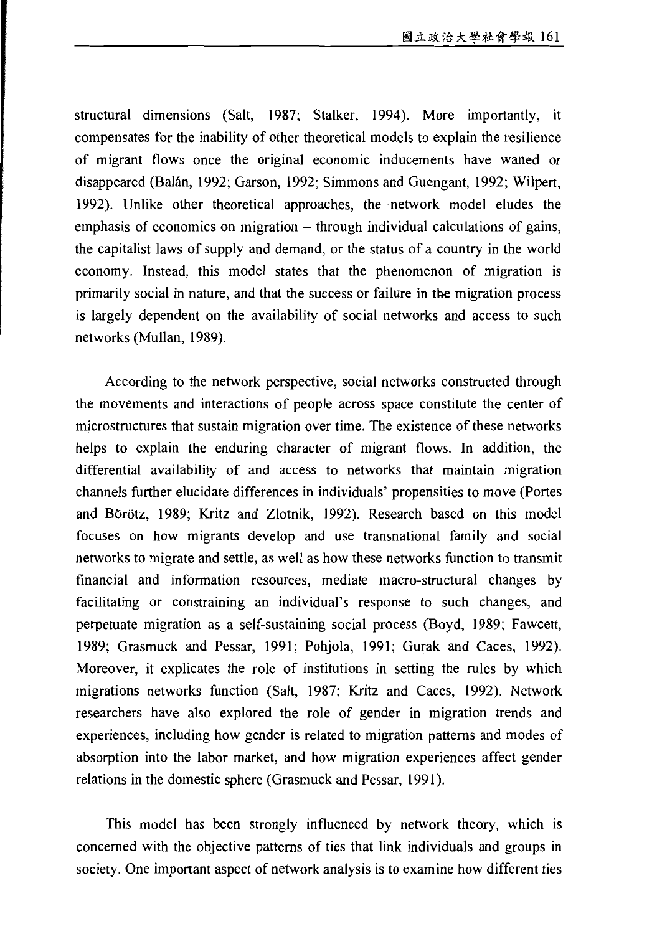structural dimensions (Salt, 1987; Stalker, 1994). More importantly, it compensates for the inability of other theoretical models to explain the resilience of migrant flows once the original economic inducements have waned or disappeared (Balán, 1992; Garson, 1992; Simmons and Guengant, 1992; Wilpert, 1992). Unlike other theoretical approaches, the network model eludes the emphasis of economics on migration  $-$  through individual calculations of gains, the capitalist laws of supply and demand, or the status of a country in the world economy. Instead, this model states that the phenomenon of migration is primarily social in nature, and that the success or failure in the migration process is largely dependent on the availability of social networks and access to such networks (Mullan, 1989).

According to the network perspective, social networks constructed through the movements and interactions of people across space constitute the center of microstructures that sustain migration over time. The existence of these networks helps to explain the enduring character of migrant flows. In addition, the differential availability of and access to networks that maintain migration channels further elucidate differences in individuals' propensities to move (Portes and Börötz, 1989; Kritz and Zlotnik, 1992). Research based on this model focuses on how migrants develop and use transnational family and social networks to migrate and settle, as well as how these networks function to transmit financial and information resources, mediate macro-structural changes by facilitating or constraining an individual's response to such changes, and perpetuate migration as a self-sustaining social process (Boyd, 1989; Fawcett, 1989; Grasmuck and Pessar, 1991; Pohjola, 1991; Gurak and Caces, 1992). Moreover, it explicates the role of institutions in setting the rules by which migrations networks function (Salt, 1987; Kritz and Caces, 1992). Network researchers have also explored the role of gender in migration trends and experiences, including how gender is related to migration patterns and modes of absorption into the labor market, and how migration experiences affect gender relations in the domestic sphere (Grasmuck and Pessar, 1991).

This model has been strongly influenced by network theory, which is concerned with the objective patterns of ties that link individuals and groups in society. One important aspect of network analysis is to examine how different ties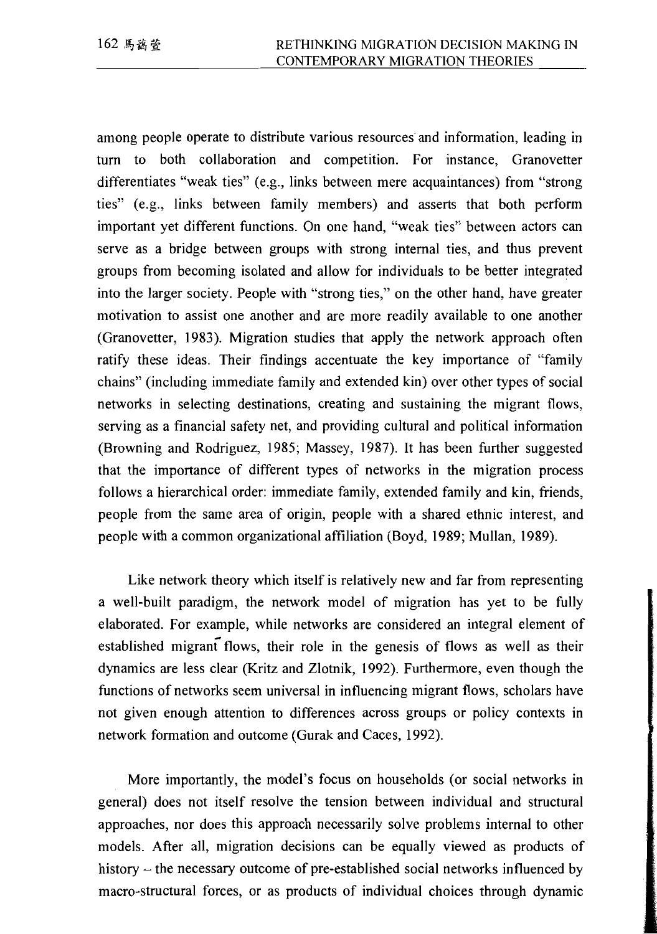among people operate to distribute various resources and information, leading in turn to both collaboration and competition. For instance, Granovetter differentiates "weak ties" (e.g., links between mere acquaintances) from "strong ties" (e.g., links between family members) and asserts that both perform important yet different functions. On one hand, "weak ties" between actors can serve as a bridge between groups with strong internal ties, and thus prevent groups from becoming isolated and allow for individuals to be better integrated into the larger society. People with "strong ties," on the other hand, have greater motivation to assist one another and are more readily available to one another (Granovetter, 1983). Migration studies that apply the network approach often ratify these ideas. Their findings accentuate the key importance of "family" chains" (including immediate family and extended kin) over other types of social networks in selecting destinations, creating and sustaining the migrant flows, serving as a financial safety net, and providing cultural and political information (Browning and Rodriguez, 1985; Massey, 1987). It has been further suggested that the importance of different types of networks in the migration process follows a hierarchical order: immediate family, extended family and kin, friends, people from the same area of origin, people with a shared ethnic interest, and people with a common organizational affiliation (Boyd, 1989; Mullan, 1989).

Like network theory which itself is relatively new and far from representing a well-built paradigm, the network model of migration has yet to be fully elaborated. For example, while networks are considered an integral element of established migrant flows, their role in the genesis of flows as well as their dynamics are less clear (Kritz and Zlotnik, 1992). Furthermore, even though the functions of networks seem universal in influencing migrant flows, scholars have not given enough attention to differences across groups or policy contexts in network formation and outcome (Gurak and Caces, 1992).

More importantly, the model's focus on households (or social networks in general) does not itself resolve the tension between individual and structural approaches, nor does this approach necessarily solve problems internal to other models. After all, migration decisions can be equally viewed as products of history – the necessary outcome of pre-established social networks influenced by macro-structural forces, or as products of individual choices through dynamic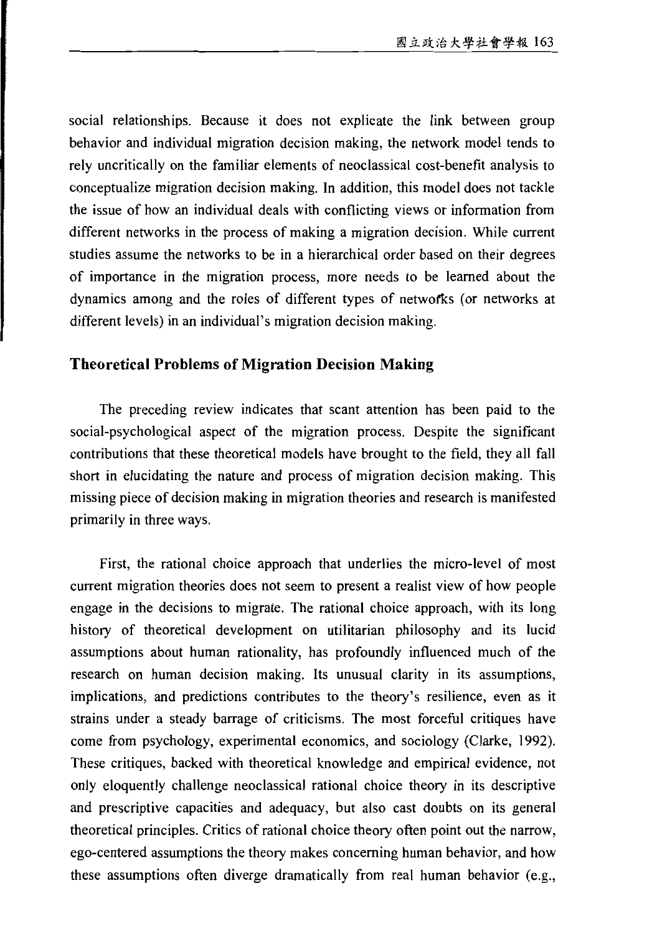social relationships. Because it does not explicate the link between group behavior and individual migration decision making, the network model tends to rely uncritically on the familiar elements of neoclassical cost-benefit analysis to conceptualize migration decision making. In addition, this model does not tackle the issue of how an individual deals with conflicting views or information from different networks in the process of making a migration decision. While current studies assume the networks to be in a hierarchical order based on their degrees of importance in the migration process, more needs to be learned about the dynamics among and the roles of different types of networks (or networks at different levels) in an individual's migration decision making.

#### **Theoretical Problems of Migration Decision Making**

The preceding review indicates that scant attention has been paid to the social-psychological aspect of the migration process. Despite the significant contributions that these theoretical models have brought to the field, they all fall short in elucidating the nature and process of migration decision making. This missing piece of decision making in migration theories and research is manifested primarily in three ways.

First, the rational choice approach that underlies the micro-level of most current migration theories does not seem to present a realist view of how people engage in the decisions to migrate. The rational choice approach, with its long history of theoretical development on utilitarian philosophy and its lucid assumptions about human rationality, has profoundly influenced much of the research on human decision making. Its unusual clarity in its assumptions, implications, and predictions contributes to the theory's resilience, even as it strains under a steady barrage of criticisms. The most forceful critiques have come from psychology, experimental economics, and sociology (Clarke, 1992). These critiques, backed with theoretical knowledge and empirical evidence, not only eloquently challenge neoclassical rational choice theory in its descriptive and prescriptive capacities and adequacy, but also cast doubts on its general theoretical principles. Critics of rational choice theory often point out the narrow, ego-centered assumptions the theory makes concerning human behavior, and how these assumptions often diverge dramatically from real human behavior (e.g.,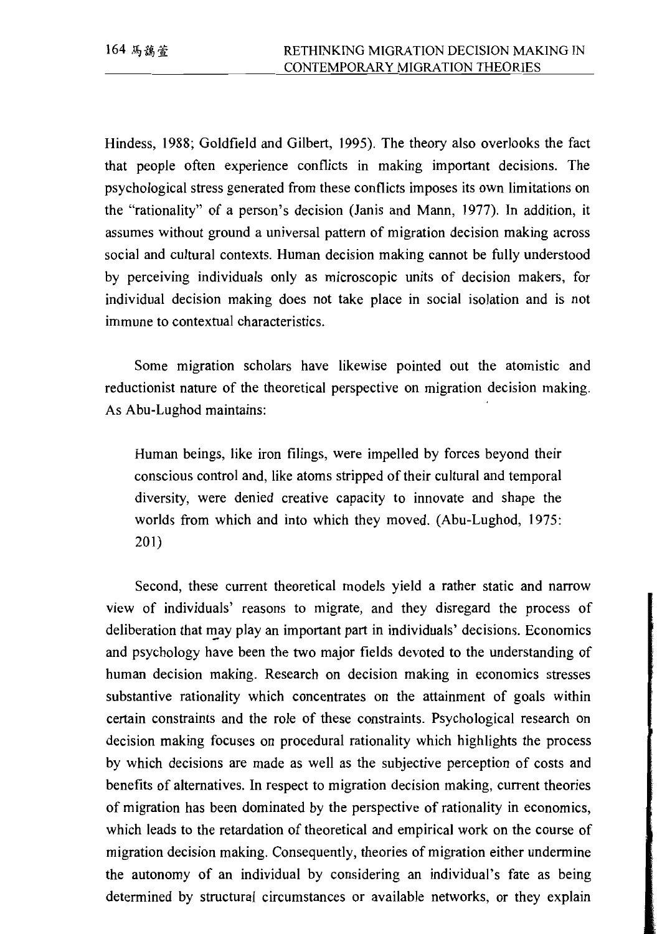Hindess, 1988; Goldfield and Gilbert, 1995). The theory also overlooks the fact that people often experience conflicts in making important decisions. The psychological stress generated from these conflicts imposes its own limitations on the "rationality" of a person's decision (Janis and Mann, 1977). In addition, it assumes without ground a universal pattern of migration decision making across social and cultural contexts. Human decision making cannot be fully understood by perceiving individuals only as microscopic units of decision makers, for individual decision making does not take place in social isolation and is not immune to contextual characteristics.

Some migration scholars have likewise pointed out the atomistic and reductionist nature of the theoretical perspective on migration decision making. As Abu-Lughod maintains:

Human beings, like iron filings, were impelled by forces beyond their conscious control and, like atoms stripped of their cultural and temporal diversity, were denied creative capacity to innovate and shape the worlds from which and into which they moved. (Abu-Lughod, 1975:  $201)$ 

Second, these current theoretical models yield a rather static and narrow view of individuals' reasons to migrate, and they disregard the process of deliberation that may play an important part in individuals' decisions. Economics and psychology have been the two major fields devoted to the understanding of human decision making. Research on decision making in economics stresses substantive rationality which concentrates on the attainment of goals within certain constraints and the role of these constraints. Psychological research on decision making focuses on procedural rationality which highlights the process by which decisions are made as well as the subjective perception of costs and benefits of alternatives. In respect to migration decision making, current theories of migration has been dominated by the perspective of rationality in economics, which leads to the retardation of theoretical and empirical work on the course of migration decision making. Consequently, theories of migration either undermine the autonomy of an individual by considering an individual's fate as being determined by structural circumstances or available networks, or they explain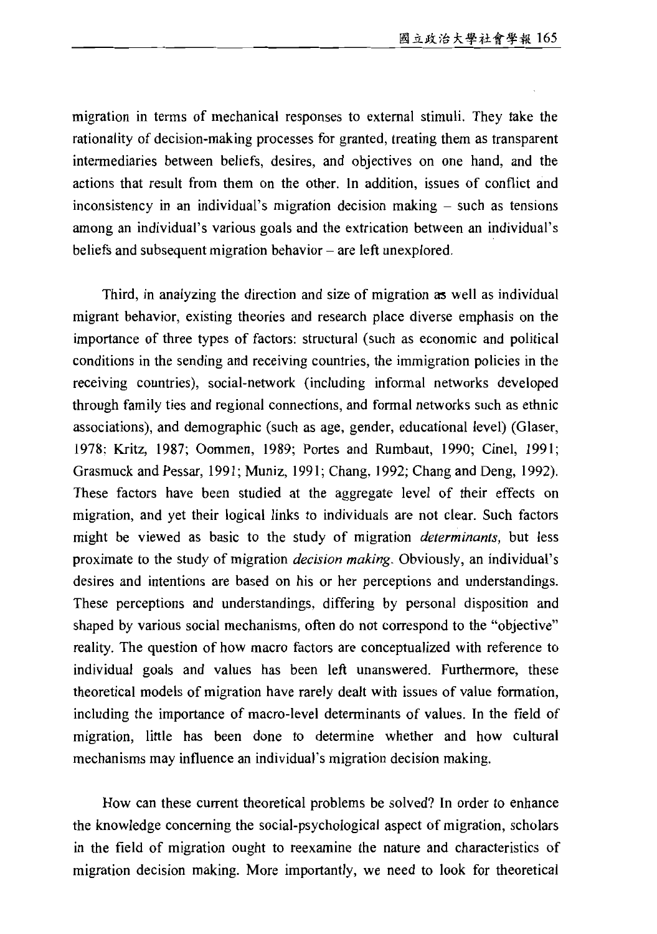migration in terms of mechanical responses to external stimuli. They take the rationality of decision-making processes for granted, treating them as transparent intermediaries between beliefs, desires, and objectives on one hand, and the actions that result from them on the other. In addition, issues of conflict and inconsistency in an individual's migration decision making – such as tensions among an individual's various goals and the extrication between an individual's beliefs and subsequent migration behavior – are left unexplored.

Third, in analyzing the direction and size of migration as well as individual migrant behavior, existing theories and research place diverse emphasis on the importance of three types of factors: structural (such as economic and political conditions in the sending and receiving countries, the immigration policies in the receiving countries), social-network (including informal networks developed through family ties and regional connections, and formal networks such as ethnic associations), and demographic (such as age, gender, educational level) (Glaser, 1978; Kritz, 1987; Oommen, 1989; Portes and Rumbaut, 1990; Cinel, 1991; Grasmuck and Pessar, 1991; Muniz, 1991; Chang, 1992; Chang and Deng, 1992). These factors have been studied at the aggregate level of their effects on migration, and yet their logical links to individuals are not clear. Such factors might be viewed as basic to the study of migration *determinants*, but less proximate to the study of migration *decision making*. Obviously, an individual's desires and intentions are based on his or her perceptions and understandings. These perceptions and understandings, differing by personal disposition and shaped by various social mechanisms, often do not correspond to the "objective" reality. The question of how macro factors are conceptualized with reference to individual goals and values has been left unanswered. Furthermore, these theoretical models of migration have rarely dealt with issues of value formation, including the importance of macro-level determinants of values. In the field of migration, little has been done to determine whether and how cultural mechanisms may influence an individual's migration decision making.

How can these current theoretical problems be solved? In order to enhance the knowledge concerning the social-psychological aspect of migration, scholars in the field of migration ought to reexamine the nature and characteristics of migration decision making. More importantly, we need to look for theoretical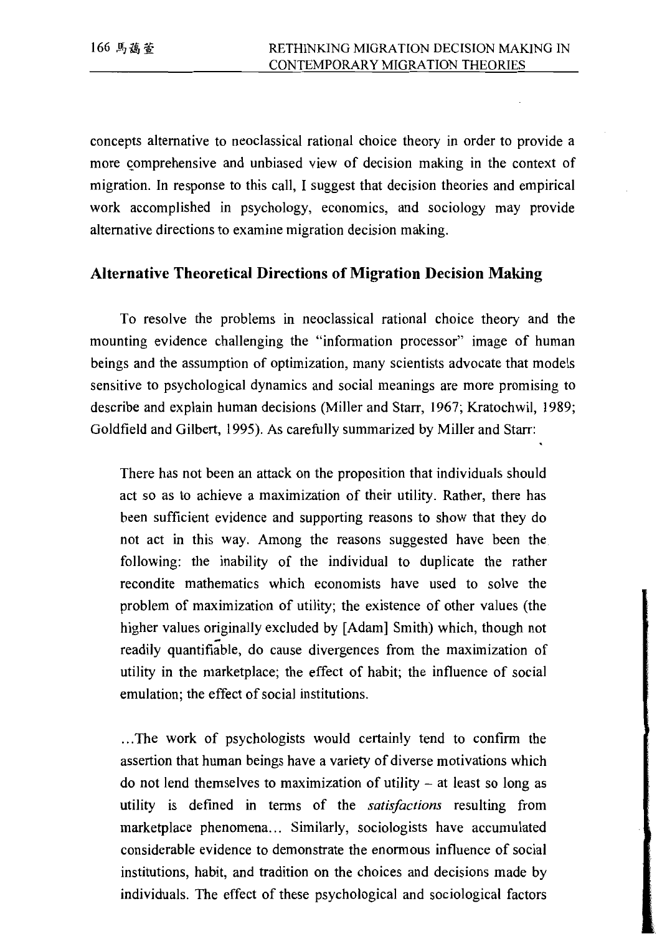concepts alternative to neoclassical rational choice theory in order to provide a more comprehensive and unbiased view of decision making in the context of migration. In response to this call, I suggest that decision theories and empirical work accomplished in psychology, economics, and sociology may provide alternative directions to examine migration decision making.

#### **Alternative Theoretical Directions of Migration Decision Making**

To resolve the problems in neoclassical rational choice theory and the mounting evidence challenging the "information processor" image of human beings and the assumption of optimization, many scientists advocate that models sensitive to psychological dynamics and social meanings are more promising to describe and explain human decisions (Miller and Starr, 1967; Kratochwil, 1989; Goldfield and Gilbert, 1995). As carefully summarized by Miller and Starr:

There has not been an attack on the proposition that individuals should act so as to achieve a maximization of their utility. Rather, there has been sufficient evidence and supporting reasons to show that they do not act in this way. Among the reasons suggested have been the following: the inability of the individual to duplicate the rather recondite mathematics which economists have used to solve the problem of maximization of utility; the existence of other values (the higher values originally excluded by [Adam] Smith) which, though not readily quantifiable, do cause divergences from the maximization of utility in the marketplace; the effect of habit; the influence of social emulation: the effect of social institutions.

...The work of psychologists would certainly tend to confirm the assertion that human beings have a variety of diverse motivations which do not lend themselves to maximization of utility  $-$  at least so long as utility is defined in terms of the satisfactions resulting from marketplace phenomena... Similarly, sociologists have accumulated considerable evidence to demonstrate the enormous influence of social institutions, habit, and tradition on the choices and decisions made by individuals. The effect of these psychological and sociological factors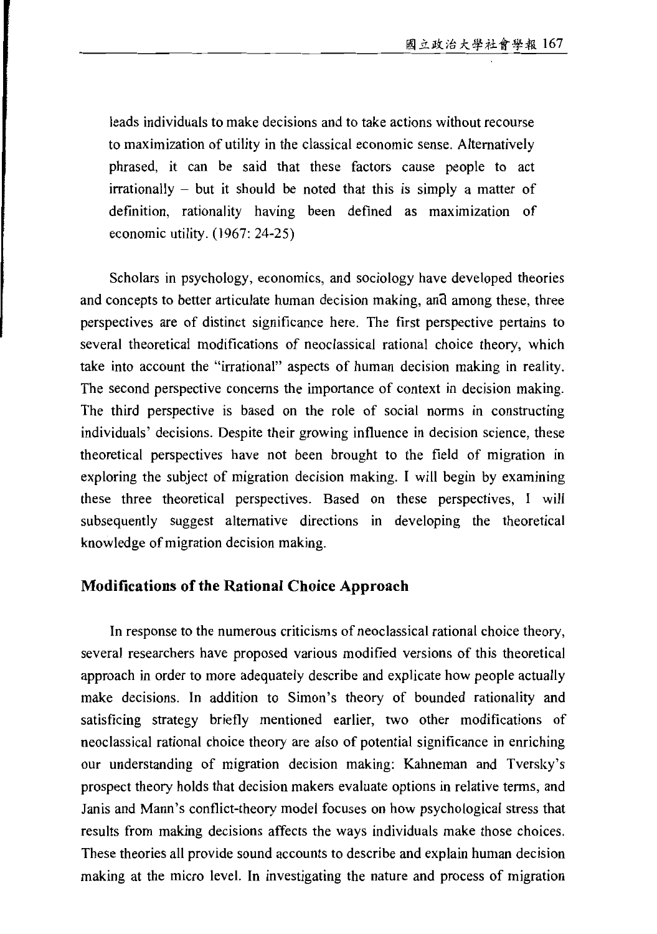leads individuals to make decisions and to take actions without recourse to maximization of utility in the classical economic sense. Alternatively phrased, it can be said that these factors cause people to act irrationally – but it should be noted that this is simply a matter of definition, rationality having been defined as maximization of economic utility.  $(1967: 24-25)$ 

Scholars in psychology, economics, and sociology have developed theories and concepts to better articulate human decision making, and among these, three perspectives are of distinct significance here. The first perspective pertains to several theoretical modifications of neoclassical rational choice theory, which take into account the "irrational" aspects of human decision making in reality. The second perspective concerns the importance of context in decision making. The third perspective is based on the role of social norms in constructing individuals' decisions. Despite their growing influence in decision science, these theoretical perspectives have not been brought to the field of migration in exploring the subject of migration decision making. I will begin by examining these three theoretical perspectives. Based on these perspectives, I will subsequently suggest alternative directions in developing the theoretical knowledge of migration decision making.

#### **Modifications of the Rational Choice Approach**

In response to the numerous criticisms of neoclassical rational choice theory, several researchers have proposed various modified versions of this theoretical approach in order to more adequately describe and explicate how people actually make decisions. In addition to Simon's theory of bounded rationality and satisficing strategy briefly mentioned earlier, two other modifications of neoclassical rational choice theory are also of potential significance in enriching our understanding of migration decision making: Kahneman and Tversky's prospect theory holds that decision makers evaluate options in relative terms, and Janis and Mann's conflict-theory model focuses on how psychological stress that results from making decisions affects the ways individuals make those choices. These theories all provide sound accounts to describe and explain human decision making at the micro level. In investigating the nature and process of migration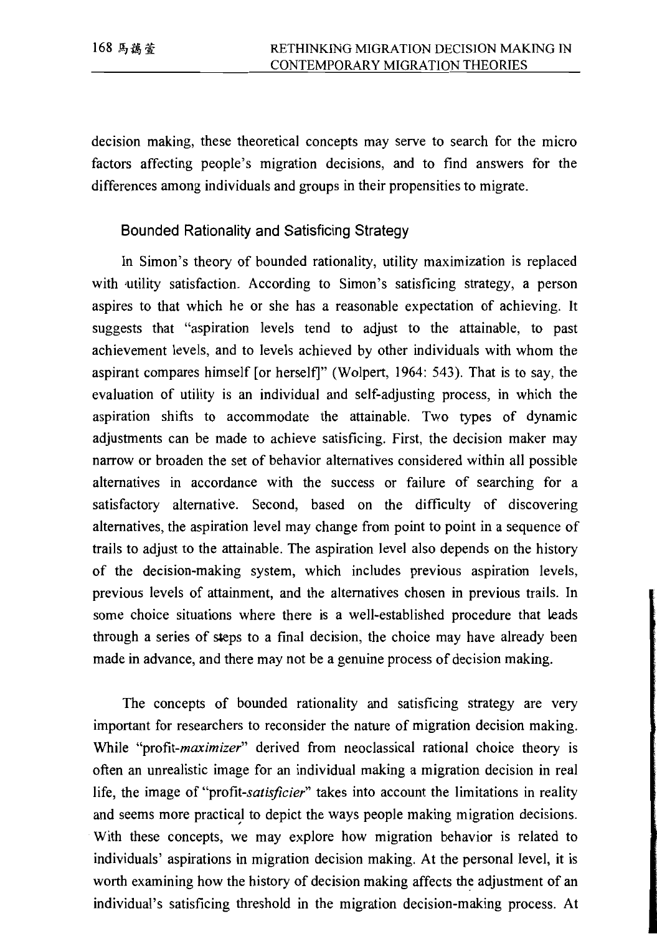decision making, these theoretical concepts may serve to search for the micro factors affecting people's migration decisions, and to find answers for the differences among individuals and groups in their propensities to migrate.

#### Bounded Rationality and Satisficing Strategy

In Simon's theory of bounded rationality, utility maximization is replaced with utility satisfaction. According to Simon's satisficing strategy, a person aspires to that which he or she has a reasonable expectation of achieving. It suggests that "aspiration levels tend to adjust to the attainable, to past achievement levels, and to levels achieved by other individuals with whom the aspirant compares himself [or herself]" (Wolpert, 1964: 543). That is to say, the evaluation of utility is an individual and self-adjusting process, in which the aspiration shifts to accommodate the attainable. Two types of dynamic adjustments can be made to achieve satisficing. First, the decision maker may narrow or broaden the set of behavior alternatives considered within all possible alternatives in accordance with the success or failure of searching for a satisfactory alternative. Second, based on the difficulty of discovering alternatives, the aspiration level may change from point to point in a sequence of trails to adjust to the attainable. The aspiration level also depends on the history of the decision-making system, which includes previous aspiration levels, previous levels of attainment, and the alternatives chosen in previous trails. In some choice situations where there is a well-established procedure that leads through a series of steps to a final decision, the choice may have already been made in advance, and there may not be a genuine process of decision making.

The concepts of bounded rationality and satisficing strategy are very important for researchers to reconsider the nature of migration decision making. While "profit-maximizer" derived from neoclassical rational choice theory is often an unrealistic image for an individual making a migration decision in real life, the image of "profit-satisficier" takes into account the limitations in reality and seems more practical to depict the ways people making migration decisions. With these concepts, we may explore how migration behavior is related to individuals' aspirations in migration decision making. At the personal level, it is worth examining how the history of decision making affects the adjustment of an individual's satisficing threshold in the migration decision-making process. At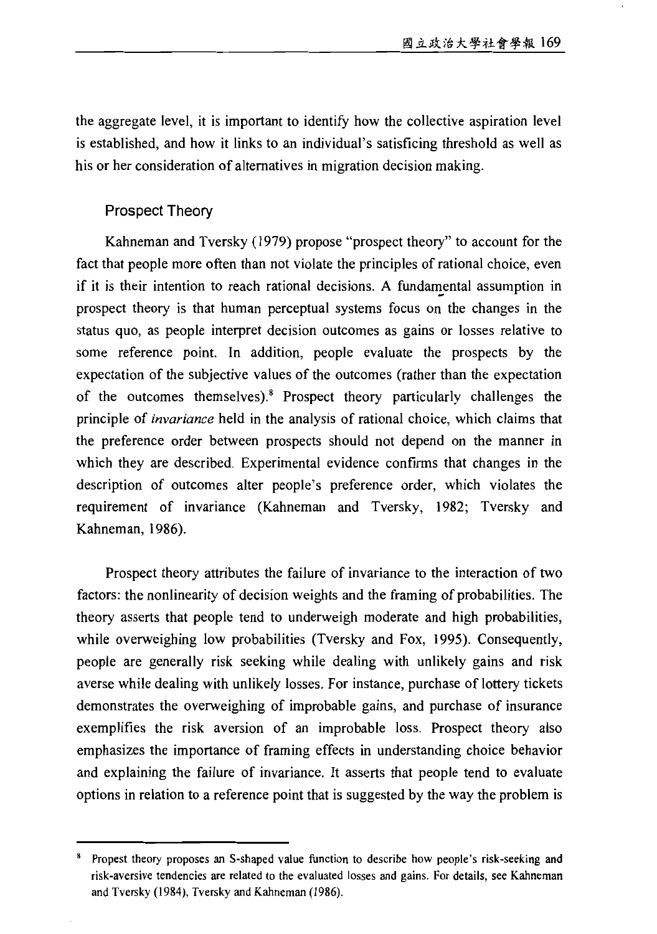the aggregate level, it is important to identify how the collective aspiration level is established, and how it links to an individual's satisficing threshold as well as his or her consideration of alternatives in migration decision making.

#### Prospect Theory

Kahneman and Tversky (1979) propose "prospect theory" to account for the fact that people more often than not violate the principles of rational choice, even if it is their intention to reach rational decisions. A fundamental assumption in prospect theory is that human perceptual systems focus on the changes in the status quo, as people interpret decision outcomes as gains or losses relative to some reference point. In addition, people evaluate the prospects by the expectation of the subjective values of the outcomes (rather than the expectation of the outcomes themselves).<sup>8</sup> Prospect theory particularly challenges the principle of *invariance* held in the analysis of rational choice, which claims that the preference order between prospects should not depend on the manner in which they are described. Experimental evidence confirms that changes in the description of outcomes alter people's preference order, which violates the requirement of invariance (Kahneman and Tversky, 1982; Tversky and Kahneman, 1986).

Prospect theory attributes the failure of invariance to the interaction of two factors: the nonlinearity of decision weights and the framing of probabilities. The theory asserts that people tend to underweigh moderate and high probabilities, while overweighing low probabilities (Tversky and Fox, 1995). Consequently, people are generally risk seeking while dealing with unlikely gains and risk averse while dealing with unlikely losses. For instance, purchase of lottery tickets demonstrates the overweighing of improbable gains, and purchase of insurance exemplifies the risk aversion of an improbable loss. Prospect theory also emphasizes the importance of framing effects in understanding choice behavior and explaining the failure of invariance. It asserts that people tend to evaluate options in relation to a reference point that is suggested by the way the problem is

Propest theory proposes an S-shaped value function to describe how people's risk-seeking and risk-aversive tendencies are related to the evaluated losses and gains. For details, see Kahneman and Tversky (1984), Tversky and Kahneman (1986).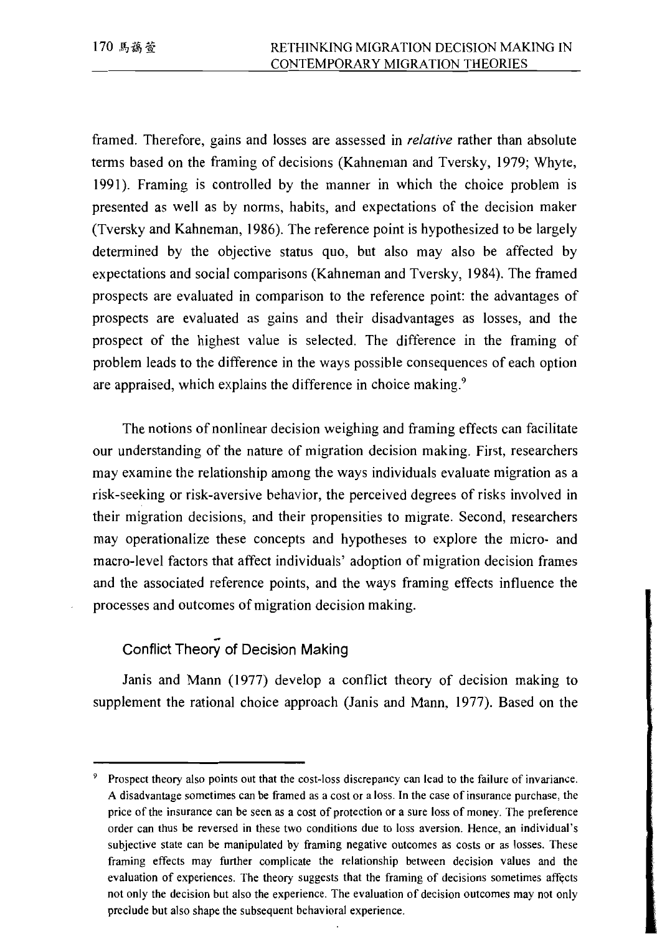framed. Therefore, gains and losses are assessed in *relative* rather than absolute terms based on the framing of decisions (Kahneman and Tversky, 1979; Whyte, 1991). Framing is controlled by the manner in which the choice problem is presented as well as by norms, habits, and expectations of the decision maker (Tversky and Kahneman, 1986). The reference point is hypothesized to be largely determined by the objective status quo, but also may also be affected by expectations and social comparisons (Kahneman and Tversky, 1984). The framed prospects are evaluated in comparison to the reference point: the advantages of prospects are evaluated as gains and their disadvantages as losses, and the prospect of the highest value is selected. The difference in the framing of problem leads to the difference in the ways possible consequences of each option are appraised, which explains the difference in choice making.<sup>9</sup>

The notions of nonlinear decision weighing and framing effects can facilitate our understanding of the nature of migration decision making. First, researchers may examine the relationship among the ways individuals evaluate migration as a risk-seeking or risk-aversive behavior, the perceived degrees of risks involved in their migration decisions, and their propensities to migrate. Second, researchers may operationalize these concepts and hypotheses to explore the micro- and macro-level factors that affect individuals' adoption of migration decision frames and the associated reference points, and the ways framing effects influence the processes and outcomes of migration decision making.

### Conflict Theory of Decision Making

Janis and Mann (1977) develop a conflict theory of decision making to supplement the rational choice approach (Janis and Mann, 1977). Based on the

<sup>&</sup>lt;sup>9</sup> Prospect theory also points out that the cost-loss discrepancy can lead to the failure of invariance. A disadvantage sometimes can be framed as a cost or a loss. In the case of insurance purchase, the price of the insurance can be seen as a cost of protection or a sure loss of money. The preference order can thus be reversed in these two conditions due to loss aversion. Hence, an individual's subjective state can be manipulated by framing negative outcomes as costs or as losses. These framing effects may further complicate the relationship between decision values and the evaluation of experiences. The theory suggests that the framing of decisions sometimes affects not only the decision but also the experience. The evaluation of decision outcomes may not only preclude but also shape the subsequent behavioral experience.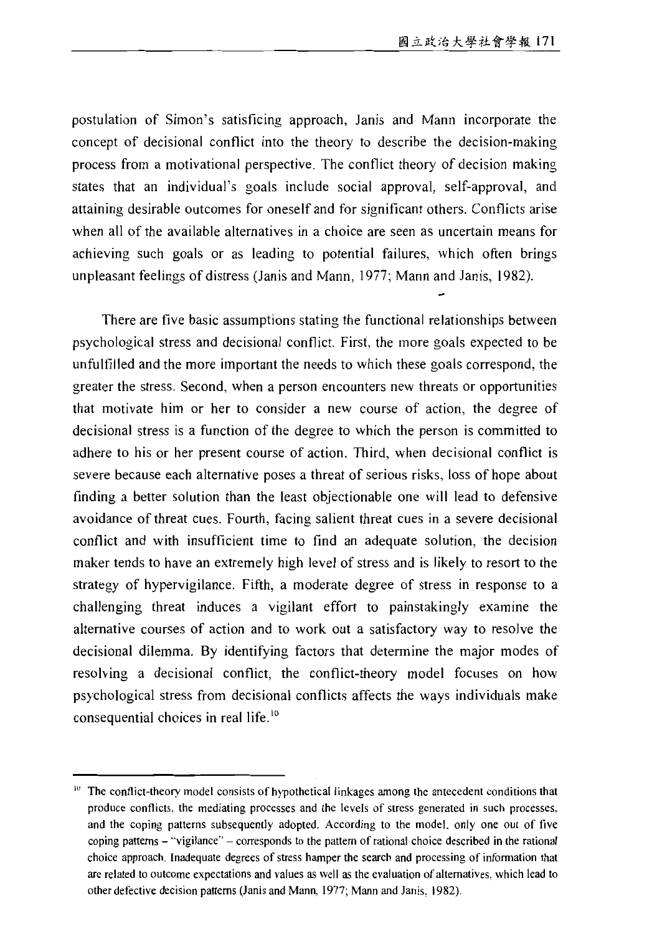postulation of Simon's satisficing approach, Janis and Mann incorporate the concept of decisional conflict into the theory to describe the decision-making process from a motivational perspective. The conflict theory of decision making states that an individual's goals include social approval, self-approval, and attaining desirable outcomes for oneself and for significant others. Conflicts arise when all of the available alternatives in a choice are seen as uncertain means for achieving such goals or as leading to potential failures, which often brings unpleasant feelings of distress (Janis and Mann, 1977; Mann and Janis, 1982).

There are five basic assumptions stating the functional relationships between psychological stress and decisional conflict. First, the more goals expected to be unfulfilled and the more important the needs to which these goals correspond, the greater the stress. Second, when a person encounters new threats or opportunities that motivate him or her to consider a new course of action, the degree of decisional stress is a function of the degree to which the person is committed to adhere to his or her present course of action. Third, when decisional conflict is severe because each alternative poses a threat of serious risks, loss of hope about finding a better solution than the least objectionable one will lead to defensive avoidance of threat cues. Fourth, facing salient threat cues in a severe decisional conflict and with insufficient time to find an adequate solution, the decision maker tends to have an extremely high level of stress and is likely to resort to the strategy of hypervigilance. Fifth, a moderate degree of stress in response to a challenging threat induces a vigilant effort to painstakingly examine the alternative courses of action and to work out a satisfactory way to resolve the decisional dilemma. By identifying factors that determine the major modes of resolving a decisional conflict, the conflict-theory model focuses on how psychological stress from decisional conflicts affects the ways individuals make consequential choices in real life.<sup>10</sup>

<sup>&</sup>lt;sup>10</sup> The conflict-theory model consists of hypothetical linkages among the antecedent conditions that produce conflicts, the mediating processes and the levels of stress generated in such processes, and the coping patterns subsequently adopted. According to the model, only one out of five coping patterns – "vigilance" – corresponds to the pattern of rational choice described in the rational choice approach. Inadequate degrees of stress hamper the search and processing of information that are related to outcome expectations and values as well as the evaluation of alternatives, which lead to other defective decision patterns (Janis and Mann, 1977; Mann and Janis, 1982).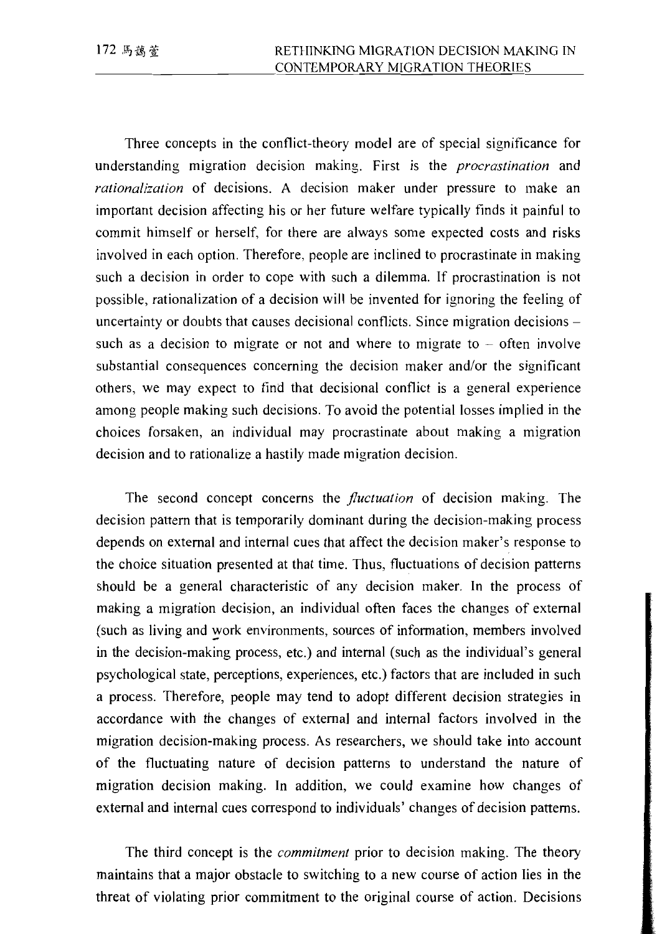Three concepts in the conflict-theory model are of special significance for understanding migration decision making. First is the *procrastination* and rationalization of decisions. A decision maker under pressure to make an important decision affecting his or her future welfare typically finds it painful to commit himself or herself, for there are always some expected costs and risks involved in each option. Therefore, people are inclined to procrastinate in making such a decision in order to cope with such a dilemma. If procrastination is not possible, rationalization of a decision will be invented for ignoring the feeling of uncertainty or doubts that causes decisional conflicts. Since migration decisions – such as a decision to migrate or not and where to migrate to  $-$  often involve substantial consequences concerning the decision maker and/or the significant others, we may expect to find that decisional conflict is a general experience among people making such decisions. To avoid the potential losses implied in the choices forsaken, an individual may procrastinate about making a migration decision and to rationalize a hastily made migration decision.

The second concept concerns the *fluctuation* of decision making. The decision pattern that is temporarily dominant during the decision-making process depends on external and internal cues that affect the decision maker's response to the choice situation presented at that time. Thus, fluctuations of decision patterns should be a general characteristic of any decision maker. In the process of making a migration decision, an individual often faces the changes of external (such as living and work environments, sources of information, members involved in the decision-making process, etc.) and internal (such as the individual's general psychological state, perceptions, experiences, etc.) factors that are included in such a process. Therefore, people may tend to adopt different decision strategies in accordance with the changes of external and internal factors involved in the migration decision-making process. As researchers, we should take into account of the fluctuating nature of decision patterns to understand the nature of migration decision making. In addition, we could examine how changes of external and internal cues correspond to individuals' changes of decision patterns.

The third concept is the *commitment* prior to decision making. The theory maintains that a major obstacle to switching to a new course of action lies in the threat of violating prior commitment to the original course of action. Decisions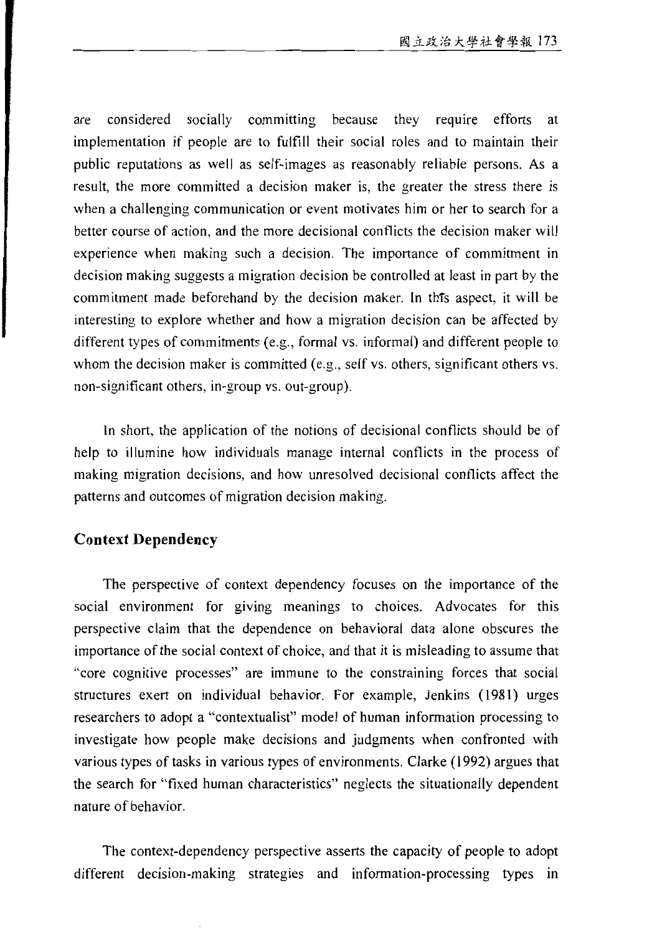considered socially committing because they require efforts are at implementation if people are to fulfill their social roles and to maintain their public reputations as well as self-images as reasonably reliable persons. As a result, the more committed a decision maker is, the greater the stress there is when a challenging communication or event motivates him or her to search for a better course of action, and the more decisional conflicts the decision maker will experience when making such a decision. The importance of commitment in decision making suggests a migration decision be controlled at least in part by the commitment made beforehand by the decision maker. In this aspect, it will be interesting to explore whether and how a migration decision can be affected by different types of commitments (e.g., formal vs. informal) and different people to whom the decision maker is committed (e.g., self vs. others, significant others vs. non-significant others, in-group vs. out-group).

In short, the application of the notions of decisional conflicts should be of help to illumine how individuals manage internal conflicts in the process of making migration decisions, and how unresolved decisional conflicts affect the patterns and outcomes of migration decision making.

#### **Context Dependency**

The perspective of context dependency focuses on the importance of the social environment for giving meanings to choices. Advocates for this perspective claim that the dependence on behavioral data alone obscures the importance of the social context of choice, and that it is misleading to assume that "core cognitive processes" are immune to the constraining forces that social structures exert on individual behavior. For example, Jenkins (1981) urges researchers to adopt a "contextualist" model of human information processing to investigate how people make decisions and judgments when confronted with various types of tasks in various types of environments. Clarke (1992) argues that the search for "fixed human characteristics" neglects the situationally dependent nature of behavior.

The context-dependency perspective asserts the capacity of people to adopt different decision-making strategies and information-processing types in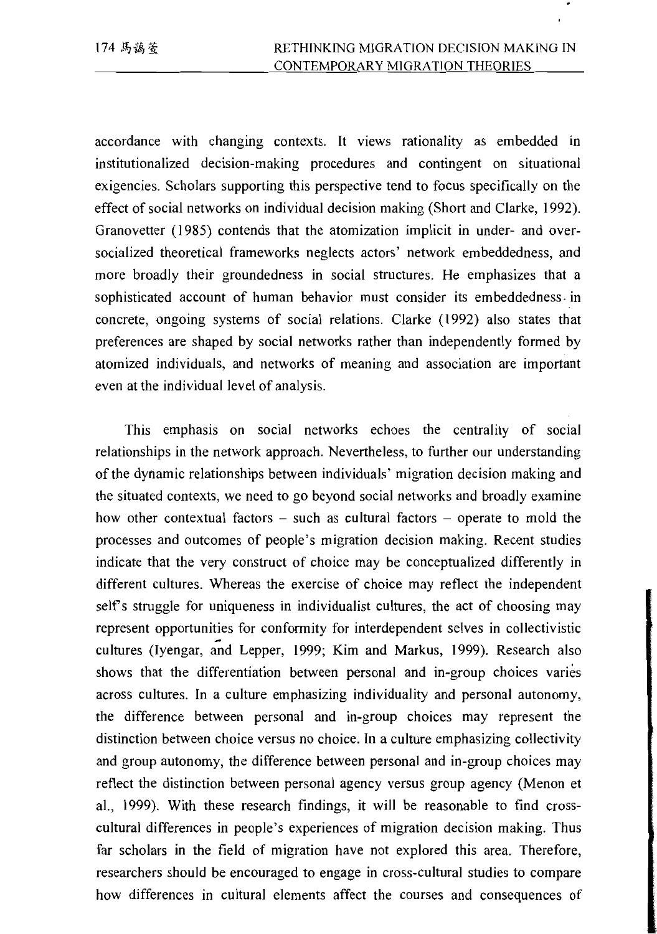accordance with changing contexts. It views rationality as embedded in institutionalized decision-making procedures and contingent on situational exigencies. Scholars supporting this perspective tend to focus specifically on the effect of social networks on individual decision making (Short and Clarke, 1992). Granovetter (1985) contends that the atomization implicit in under- and oversocialized theoretical frameworks neglects actors' network embeddedness, and more broadly their groundedness in social structures. He emphasizes that a sophisticated account of human behavior must consider its embeddedness in concrete, ongoing systems of social relations. Clarke (1992) also states that preferences are shaped by social networks rather than independently formed by atomized individuals, and networks of meaning and association are important even at the individual level of analysis.

This emphasis on social networks echoes the centrality of social relationships in the network approach. Nevertheless, to further our understanding of the dynamic relationships between individuals' migration decision making and the situated contexts, we need to go beyond social networks and broadly examine how other contextual factors  $-$  such as cultural factors  $-$  operate to mold the processes and outcomes of people's migration decision making. Recent studies indicate that the very construct of choice may be conceptualized differently in different cultures. Whereas the exercise of choice may reflect the independent self's struggle for uniqueness in individualist cultures, the act of choosing may represent opportunities for conformity for interdependent selves in collectivistic cultures (Ivengar, and Lepper, 1999; Kim and Markus, 1999). Research also shows that the differentiation between personal and in-group choices varies across cultures. In a culture emphasizing individuality and personal autonomy, the difference between personal and in-group choices may represent the distinction between choice versus no choice. In a culture emphasizing collectivity and group autonomy, the difference between personal and in-group choices may reflect the distinction between personal agency versus group agency (Menon et al., 1999). With these research findings, it will be reasonable to find crosscultural differences in people's experiences of migration decision making. Thus far scholars in the field of migration have not explored this area. Therefore, researchers should be encouraged to engage in cross-cultural studies to compare how differences in cultural elements affect the courses and consequences of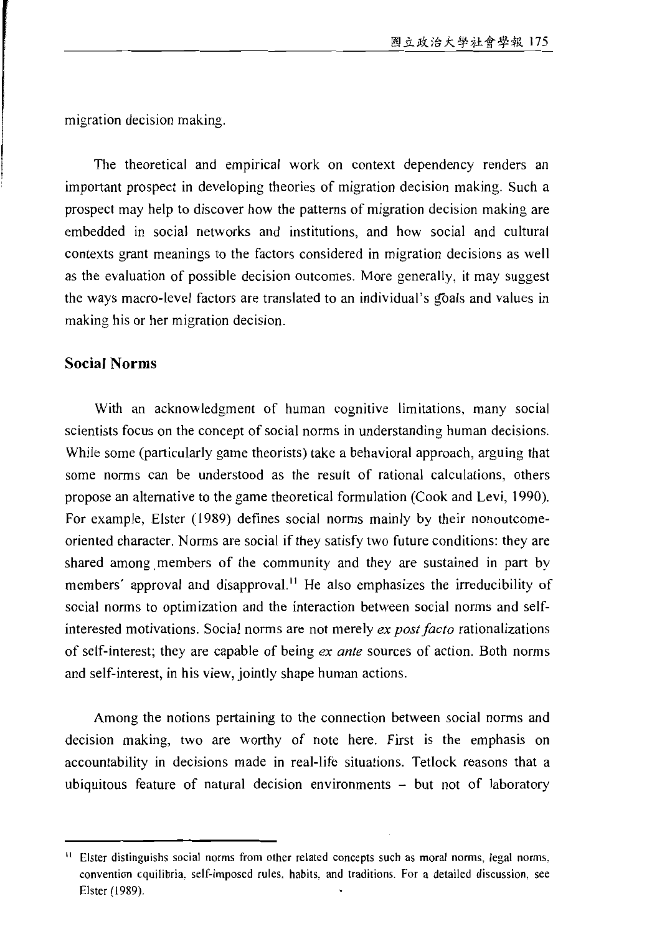migration decision making.

The theoretical and empirical work on context dependency renders an important prospect in developing theories of migration decision making. Such a prospect may help to discover how the patterns of migration decision making are embedded in social networks and institutions, and how social and cultural contexts grant meanings to the factors considered in migration decisions as well as the evaluation of possible decision outcomes. More generally, it may suggest the ways macro-level factors are translated to an individual's goals and values in making his or her migration decision.

#### **Social Norms**

With an acknowledgment of human cognitive limitations, many social scientists focus on the concept of social norms in understanding human decisions. While some (particularly game theorists) take a behavioral approach, arguing that some norms can be understood as the result of rational calculations, others propose an alternative to the game theoretical formulation (Cook and Levi, 1990). For example, Elster (1989) defines social norms mainly by their nonoutcomeoriented character. Norms are social if they satisfy two future conditions: they are shared among members of the community and they are sustained in part by members' approval and disapproval.<sup>11</sup> He also emphasizes the irreducibility of social norms to optimization and the interaction between social norms and selfinterested motivations. Social norms are not merely ex post facto rationalizations of self-interest; they are capable of being ex ante sources of action. Both norms and self-interest, in his view, jointly shape human actions.

Among the notions pertaining to the connection between social norms and decision making, two are worthy of note here. First is the emphasis on accountability in decisions made in real-life situations. Tetlock reasons that a ubiquitous feature of natural decision environments  $-$  but not of laboratory

<sup>11</sup> Elster distinguishs social norms from other related concepts such as moral norms, legal norms, convention equilibria, self-imposed rules, habits, and traditions. For a detailed discussion, see Elster (1989).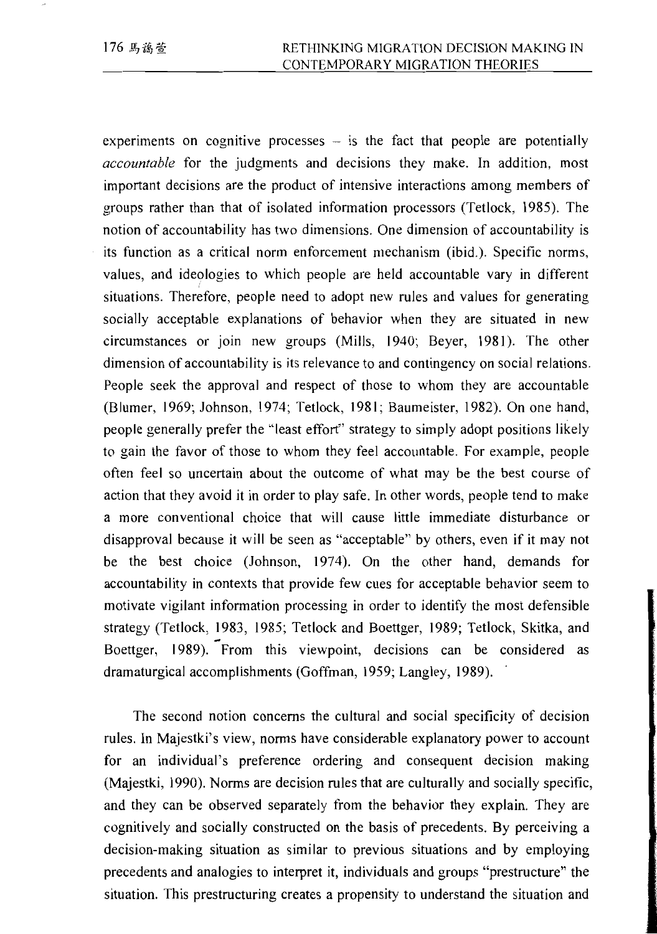experiments on cognitive processes – is the fact that people are potentially *accountable* for the judgments and decisions they make. In addition, most important decisions are the product of intensive interactions among members of groups rather than that of isolated information processors (Tetlock, 1985). The notion of accountability has two dimensions. One dimension of accountability is its function as a critical norm enforcement mechanism (ibid.). Specific norms, values, and ideologies to which people are held accountable vary in different situations. Therefore, people need to adopt new rules and values for generating socially acceptable explanations of behavior when they are situated in new circumstances or join new groups (Mills, 1940; Beyer, 1981). The other dimension of accountability is its relevance to and contingency on social relations. People seek the approval and respect of those to whom they are accountable (Blumer, 1969; Johnson, 1974; Tetlock, 1981; Baumeister, 1982). On one hand, people generally prefer the "least effort" strategy to simply adopt positions likely to gain the favor of those to whom they feel accountable. For example, people often feel so uncertain about the outcome of what may be the best course of action that they avoid it in order to play safe. In other words, people tend to make a more conventional choice that will cause little immediate disturbance or disapproval because it will be seen as "acceptable" by others, even if it may not be the best choice (Johnson, 1974). On the other hand, demands for accountability in contexts that provide few cues for acceptable behavior seem to motivate vigilant information processing in order to identify the most defensible strategy (Tetlock, 1983, 1985; Tetlock and Boettger, 1989; Tetlock, Skitka, and Boettger, 1989). From this viewpoint, decisions can be considered as dramaturgical accomplishments (Goffman, 1959; Langley, 1989).

The second notion concerns the cultural and social specificity of decision rules. In Majestki's view, norms have considerable explanatory power to account for an individual's preference ordering and consequent decision making (Majestki, 1990). Norms are decision rules that are culturally and socially specific, and they can be observed separately from the behavior they explain. They are cognitively and socially constructed on the basis of precedents. By perceiving a decision-making situation as similar to previous situations and by employing precedents and analogies to interpret it, individuals and groups "prestructure" the situation. This prestructuring creates a propensity to understand the situation and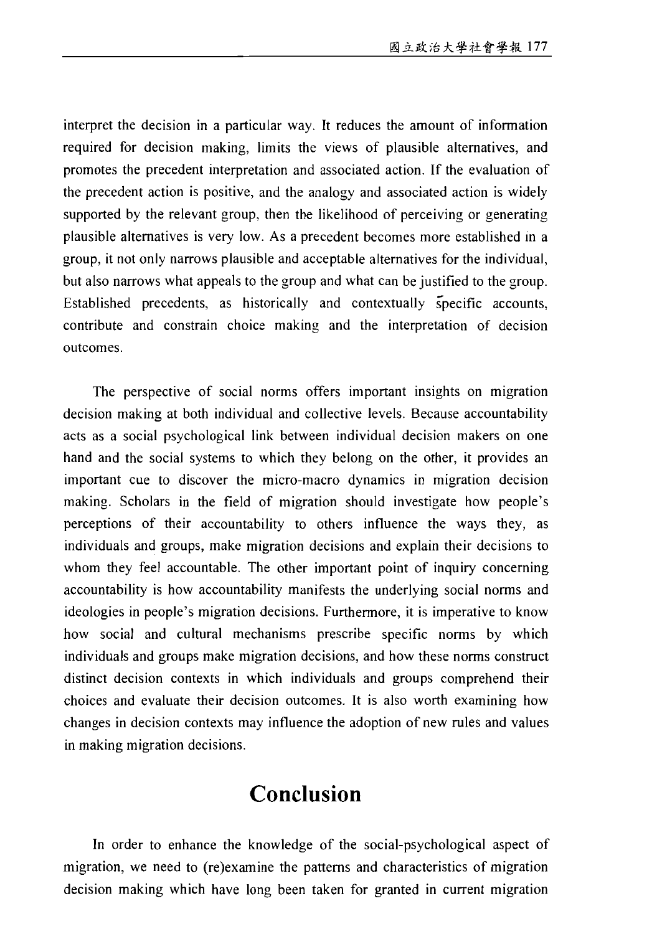interpret the decision in a particular way. It reduces the amount of information required for decision making, limits the views of plausible alternatives, and promotes the precedent interpretation and associated action. If the evaluation of the precedent action is positive, and the analogy and associated action is widely supported by the relevant group, then the likelihood of perceiving or generating plausible alternatives is very low. As a precedent becomes more established in a group, it not only narrows plausible and acceptable alternatives for the individual, but also narrows what appeals to the group and what can be justified to the group. Established precedents, as historically and contextually specific accounts, contribute and constrain choice making and the interpretation of decision outcomes.

The perspective of social norms offers important insights on migration decision making at both individual and collective levels. Because accountability acts as a social psychological link between individual decision makers on one hand and the social systems to which they belong on the other, it provides an important cue to discover the micro-macro dynamics in migration decision making. Scholars in the field of migration should investigate how people's perceptions of their accountability to others influence the ways they, as individuals and groups, make migration decisions and explain their decisions to whom they feel accountable. The other important point of inquiry concerning accountability is how accountability manifests the underlying social norms and ideologies in people's migration decisions. Furthermore, it is imperative to know how social and cultural mechanisms prescribe specific norms by which individuals and groups make migration decisions, and how these norms construct distinct decision contexts in which individuals and groups comprehend their choices and evaluate their decision outcomes. It is also worth examining how changes in decision contexts may influence the adoption of new rules and values in making migration decisions.

# Conclusion

In order to enhance the knowledge of the social-psychological aspect of migration, we need to (re)examine the patterns and characteristics of migration decision making which have long been taken for granted in current migration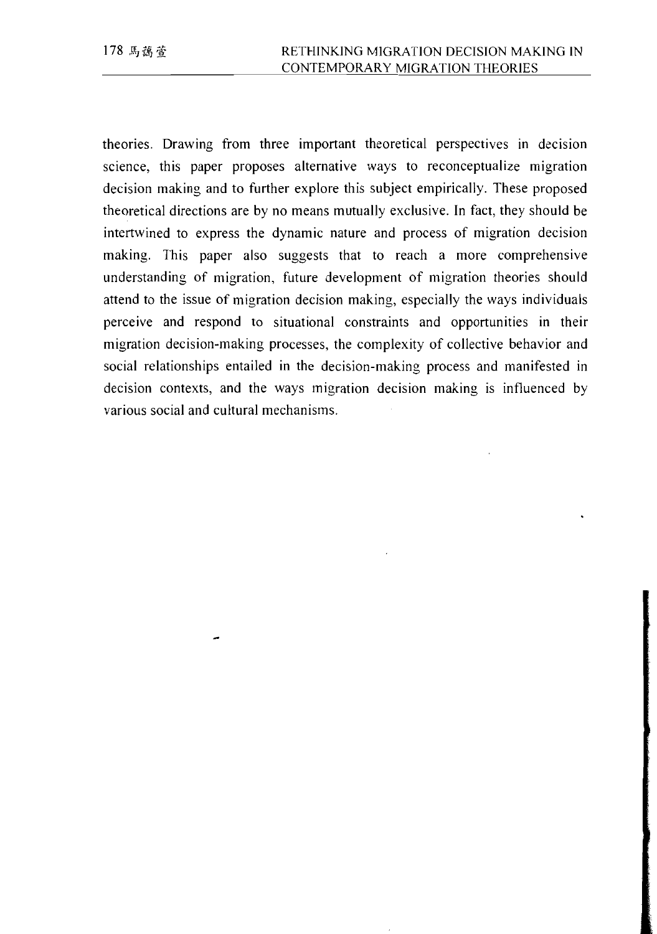theories. Drawing from three important theoretical perspectives in decision science, this paper proposes alternative ways to reconceptualize migration decision making and to further explore this subject empirically. These proposed theoretical directions are by no means mutually exclusive. In fact, they should be intertwined to express the dynamic nature and process of migration decision making. This paper also suggests that to reach a more comprehensive understanding of migration, future development of migration theories should attend to the issue of migration decision making, especially the ways individuals perceive and respond to situational constraints and opportunities in their migration decision-making processes, the complexity of collective behavior and social relationships entailed in the decision-making process and manifested in decision contexts, and the ways migration decision making is influenced by various social and cultural mechanisms.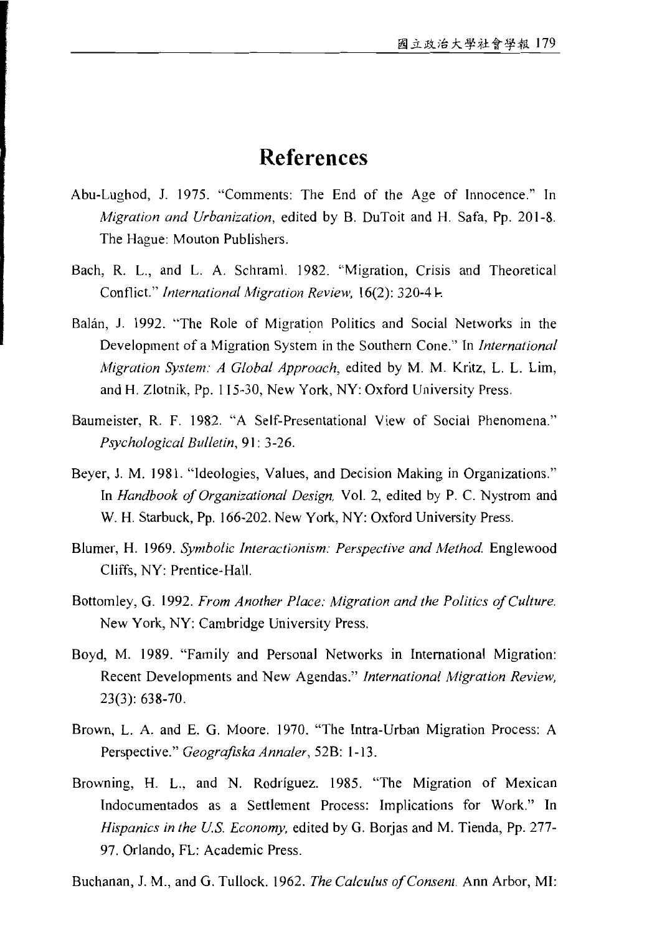## **References**

- Abu-Lughod, J. 1975. "Comments: The End of the Age of Innocence." In *Migration and Urbanization*, edited by B. DuToit and H. Safa, Pp. 201-8. The Hague: Mouton Publishers.
- Bach, R. L., and L. A. Schraml. 1982. "Migration, Crisis and Theoretical Conflict." International Migration Review, 16(2): 320-41.
- Balán, J. 1992. "The Role of Migration Politics and Social Networks in the Development of a Migration System in the Southern Cone." In International Migration System: A Global Approach, edited by M. M. Kritz, L. L. Lim, and H. Zlotnik, Pp. 115-30, New York, NY: Oxford University Press.
- Baumeister, R. F. 1982. "A Self-Presentational View of Social Phenomena." Psychological Bulletin, 91: 3-26.
- Beyer, J. M. 1981. "Ideologies, Values, and Decision Making in Organizations." In Handbook of Organizational Design, Vol. 2, edited by P. C. Nystrom and W. H. Starbuck, Pp. 166-202. New York, NY: Oxford University Press.
- Blumer, H. 1969. Symbolic Interactionism: Perspective and Method. Englewood Cliffs, NY: Prentice-Hall.
- Bottomley, G. 1992. From Another Place: Migration and the Politics of Culture. New York, NY: Cambridge University Press.
- Boyd, M. 1989. "Family and Personal Networks in International Migration: Recent Developments and New Agendas." International Migration Review,  $23(3): 638-70.$
- Brown, L. A. and E. G. Moore. 1970. "The Intra-Urban Migration Process: A Perspective." Geografiska Annaler, 52B: 1-13.
- Browning, H. L., and N. Rodríguez. 1985. "The Migration of Mexican Indocumentados as a Settlement Process: Implications for Work." In Hispanics in the U.S. Economy, edited by G. Borjas and M. Tienda, Pp. 277-97. Orlando, FL: Academic Press.

Buchanan, J. M., and G. Tullock. 1962. The Calculus of Consent. Ann Arbor, MI: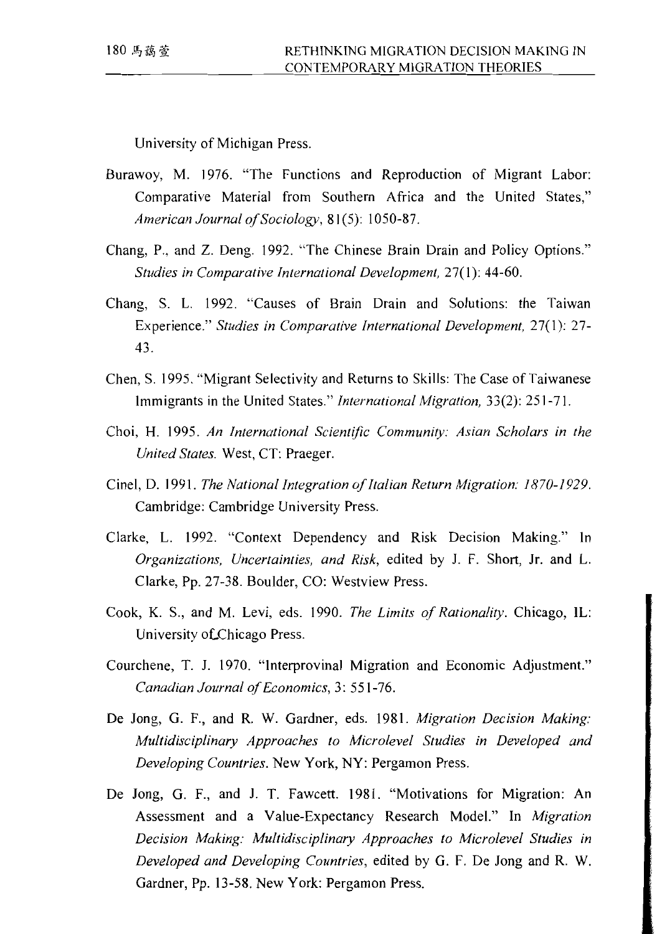University of Michigan Press.

- Burawoy, M. 1976. "The Functions and Reproduction of Migrant Labor: Comparative Material from Southern Africa and the United States," American Journal of Sociology, 81(5): 1050-87.
- Chang, P., and Z. Deng. 1992. "The Chinese Brain Drain and Policy Options." Studies in Comparative International Development, 27(1): 44-60.
- Chang, S. L. 1992. "Causes of Brain Drain and Solutions: the Taiwan Experience." Studies in Comparative International Development, 27(1): 27-43.
- Chen, S. 1995. "Migrant Selectivity and Returns to Skills: The Case of Taiwanese Immigrants in the United States." *International Migration*, 33(2): 251-71.
- Choi, H. 1995. An International Scientific Community: Asian Scholars in the United States. West, CT: Praeger.
- Cinel, D. 1991. The National Integration of Italian Return Migration: 1870-1929. Cambridge: Cambridge University Press.
- Clarke, L. 1992. "Context Dependency and Risk Decision Making." In Organizations, Uncertainties, and Risk, edited by J. F. Short, Jr. and L. Clarke, Pp. 27-38. Boulder, CO: Westview Press.
- Cook, K. S., and M. Levi, eds. 1990. The Limits of Rationality. Chicago, IL: University of Chicago Press.
- Courchene, T. J. 1970. "Interprovinal Migration and Economic Adjustment." Canadian Journal of Economics, 3: 551-76.
- De Jong, G. F., and R. W. Gardner, eds. 1981. Migration Decision Making: Multidisciplinary Approaches to Microlevel Studies in Developed and Developing Countries. New York, NY: Pergamon Press.
- De Jong, G. F., and J. T. Fawcett. 1981. "Motivations for Migration: An Assessment and a Value-Expectancy Research Model." In Migration Decision Making: Multidisciplinary Approaches to Microlevel Studies in Developed and Developing Countries, edited by G. F. De Jong and R. W. Gardner, Pp. 13-58. New York: Pergamon Press.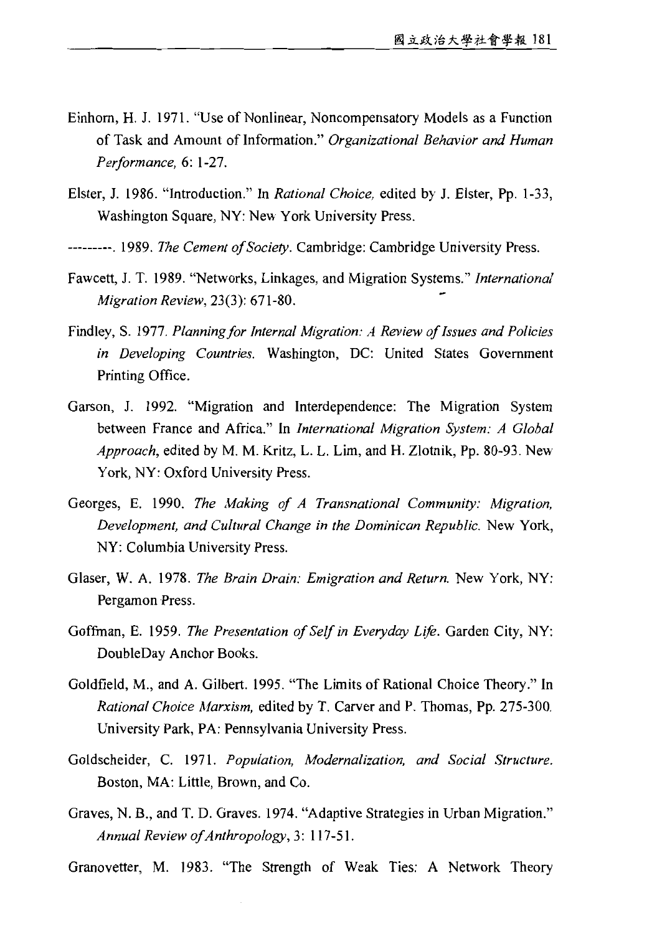- Einhorn, H. J. 1971. "Use of Nonlinear, Noncompensatory Models as a Function of Task and Amount of Information." Organizational Behavior and Human Performance, 6: 1-27.
- Elster, J. 1986. "Introduction." In Rational Choice, edited by J. Elster, Pp. 1-33, Washington Square, NY: New York University Press.
- ---------. 1989. The Cement of Society. Cambridge: Cambridge University Press.
- Fawcett, J. T. 1989. "Networks, Linkages, and Migration Systems." International Migration Review, 23(3): 671-80.
- Findley, S. 1977. Planning for Internal Migration: A Review of Issues and Policies in Developing Countries. Washington, DC: United States Government Printing Office.
- Garson, J. 1992. "Migration and Interdependence: The Migration System between France and Africa." In International Migration System: A Global Approach, edited by M. M. Kritz, L. L. Lim, and H. Zlotnik, Pp. 80-93. New York, NY: Oxford University Press.
- Georges, E. 1990. The Making of A Transnational Community: Migration, Development, and Cultural Change in the Dominican Republic. New York, NY: Columbia University Press.
- Glaser, W. A. 1978. The Brain Drain: Emigration and Return. New York, NY: Pergamon Press.
- Goffman, E. 1959. The Presentation of Self in Everyday Life. Garden City, NY: DoubleDay Anchor Books.
- Goldfield, M., and A. Gilbert. 1995. "The Limits of Rational Choice Theory." In Rational Choice Marxism, edited by T. Carver and P. Thomas, Pp. 275-300. University Park, PA: Pennsylvania University Press.
- Goldscheider, C. 1971. Population, Modernalization, and Social Structure. Boston, MA: Little, Brown, and Co.
- Graves, N. B., and T. D. Graves. 1974. "Adaptive Strategies in Urban Migration." Annual Review of Anthropology, 3: 117-51.
- Granovetter, M. 1983. "The Strength of Weak Ties: A Network Theory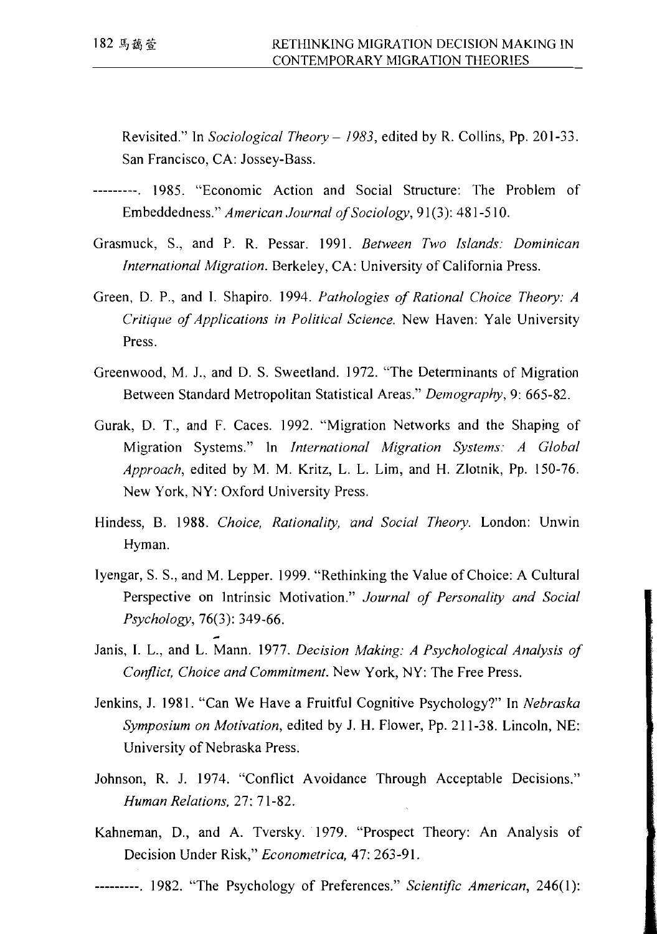Revisited." In Sociological Theory - 1983, edited by R. Collins, Pp. 201-33. San Francisco, CA: Jossey-Bass.

- ---------, 1985. "Economic Action and Social Structure: The Problem of Embeddedness." American Journal of Sociology, 91(3): 481-510.
- Grasmuck, S., and P. R. Pessar. 1991. Between Two Islands: Dominican International Migration. Berkeley, CA: University of California Press.
- Green, D. P., and I. Shapiro. 1994. Pathologies of Rational Choice Theory: A Critique of Applications in Political Science. New Haven: Yale University Press.
- Greenwood, M. J., and D. S. Sweetland. 1972. "The Determinants of Migration Between Standard Metropolitan Statistical Areas." Demography, 9: 665-82.
- Gurak, D. T., and F. Caces. 1992. "Migration Networks and the Shaping of Migration Systems." In International Migration Systems: A Global Approach, edited by M. M. Kritz, L. L. Lim, and H. Zlotnik, Pp. 150-76. New York, NY: Oxford University Press.
- Hindess, B. 1988. Choice, Rationality, and Social Theory. London: Unwin Hyman.
- Ivengar, S. S., and M. Lepper. 1999. "Rethinking the Value of Choice: A Cultural Perspective on Intrinsic Motivation." Journal of Personality and Social Psychology, 76(3): 349-66.
- Janis, I. L., and L. Mann. 1977. Decision Making: A Psychological Analysis of Conflict. Choice and Commitment. New York, NY: The Free Press.
- Jenkins, J. 1981. "Can We Have a Fruitful Cognitive Psychology?" In Nebraska Symposium on Motivation, edited by J. H. Flower, Pp. 211-38. Lincoln, NE: University of Nebraska Press.
- Johnson, R. J. 1974. "Conflict Avoidance Through Acceptable Decisions." Human Relations, 27: 71-82.
- Kahneman, D., and A. Tversky. 1979. "Prospect Theory: An Analysis of Decision Under Risk," Econometrica, 47: 263-91.
- ---------. 1982. "The Psychology of Preferences." Scientific American, 246(1):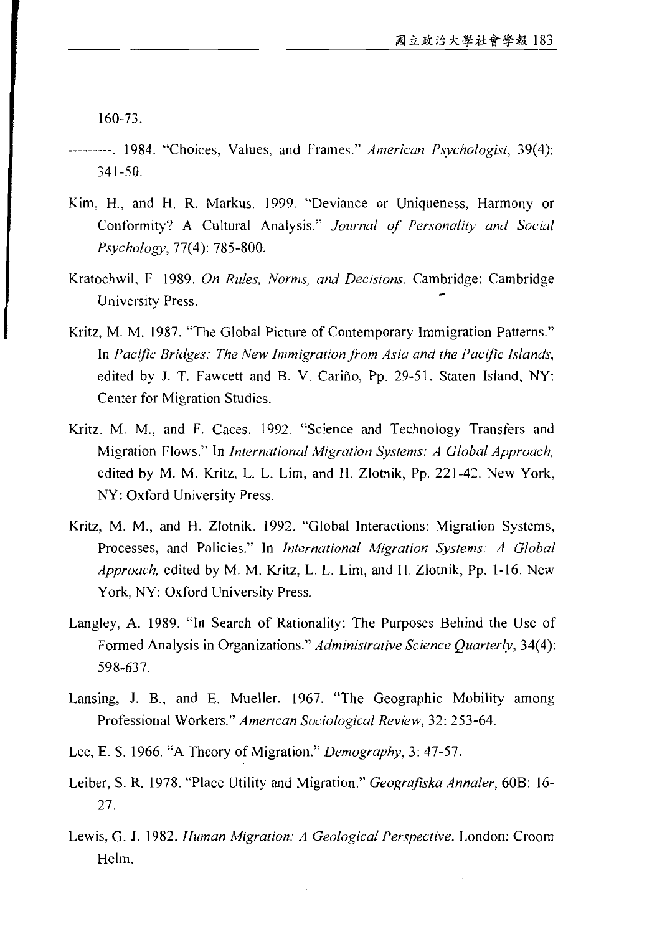$160 - 73.$ 

- --------. 1984. "Choices, Values, and Frames." American Psychologist, 39(4): 341-50.
- Kim, H., and H. R. Markus. 1999. "Deviance or Uniqueness, Harmony or Conformity? A Cultural Analysis." Journal of Personality and Social Psychology, 77(4): 785-800.
- Kratochwil, F. 1989. On Rules, Norms, and Decisions. Cambridge: Cambridge University Press.
- Kritz, M. M. 1987. "The Global Picture of Contemporary Immigration Patterns." In Pacific Bridges: The New Immigration from Asia and the Pacific Islands, edited by J. T. Fawcett and B. V. Cariño, Pp. 29-51. Staten Island, NY: Center for Migration Studies.
- Kritz, M. M., and F. Caces. 1992. "Science and Technology Transfers and Migration Flows." In International Migration Systems: A Global Approach, edited by M. M. Kritz, L. L. Lim, and H. Zlotnik, Pp. 221-42. New York, NY: Oxford University Press.
- Kritz, M. M., and H. Zlotnik. 1992. "Global Interactions: Migration Systems, Processes, and Policies." In International Migration Systems: A Global Approach, edited by M. M. Kritz, L. L. Lim, and H. Zlotnik, Pp. 1-16. New York, NY: Oxford University Press.
- Langley, A. 1989. "In Search of Rationality: The Purposes Behind the Use of Formed Analysis in Organizations." Administrative Science Quarterly, 34(4): 598-637.
- Lansing, J. B., and E. Mueller. 1967. "The Geographic Mobility among Professional Workers." American Sociological Review, 32: 253-64.
- Lee, E. S. 1966. "A Theory of Migration." Demography, 3: 47-57.
- Leiber, S. R. 1978. "Place Utility and Migration." Geografiska Annaler, 60B: 16-27.
- Lewis, G. J. 1982. Human Migration: A Geological Perspective. London: Croom Helm.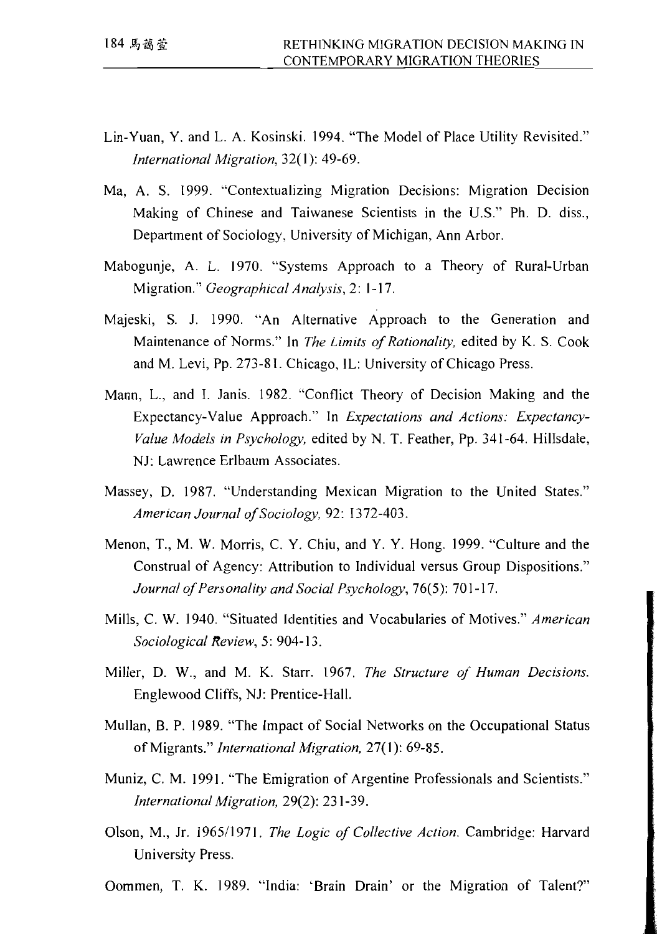- Lin-Yuan, Y. and L. A. Kosinski. 1994. "The Model of Place Utility Revisited." International Migration, 32(1): 49-69.
- Ma, A. S. 1999. "Contextualizing Migration Decisions: Migration Decision Making of Chinese and Taiwanese Scientists in the U.S." Ph. D. diss., Department of Sociology, University of Michigan, Ann Arbor.
- Mabogunje, A. L. 1970. "Systems Approach to a Theory of Rural-Urban Migration." Geographical Analysis, 2: 1-17.
- Majeski, S. J. 1990. "An Alternative Approach to the Generation and Maintenance of Norms." In The Limits of Rationality, edited by K. S. Cook and M. Levi, Pp. 273-81. Chicago, IL: University of Chicago Press.
- Mann, L., and I. Janis. 1982. "Conflict Theory of Decision Making and the Expectancy-Value Approach." In Expectations and Actions: Expectancy-Value Models in Psychology, edited by N. T. Feather, Pp. 341-64. Hillsdale, NJ: Lawrence Erlbaum Associates.
- Massey, D. 1987. "Understanding Mexican Migration to the United States." American Journal of Sociology, 92: 1372-403.
- Menon, T., M. W. Morris, C. Y. Chiu, and Y. Y. Hong. 1999. "Culture and the Construal of Agency: Attribution to Individual versus Group Dispositions." Journal of Personality and Social Psychology, 76(5): 701-17.
- Mills, C. W. 1940. "Situated Identities and Vocabularies of Motives." American Sociological Review, 5: 904-13.
- Miller, D. W., and M. K. Starr. 1967. The Structure of Human Decisions. Englewood Cliffs, NJ: Prentice-Hall.
- Mullan, B. P. 1989. "The Impact of Social Networks on the Occupational Status of Migrants." International Migration, 27(1): 69-85.
- Muniz, C. M. 1991. "The Emigration of Argentine Professionals and Scientists." International Migration, 29(2): 231-39.
- Olson, M., Jr. 1965/1971. The Logic of Collective Action. Cambridge: Harvard University Press.

Oommen, T. K. 1989. "India: 'Brain Drain' or the Migration of Talent?"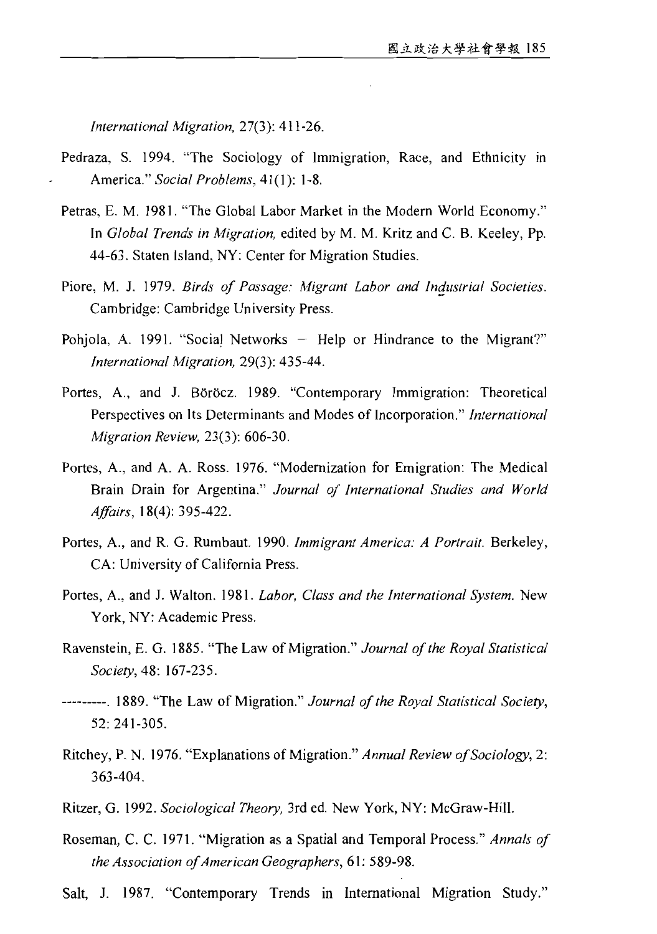International Migration, 27(3): 411-26.

- Pedraza, S. 1994. "The Sociology of Immigration, Race, and Ethnicity in America." Social Problems, 41(1): 1-8.
- Petras, E. M. 1981. "The Global Labor Market in the Modern World Economy." In Global Trends in Migration, edited by M. M. Kritz and C. B. Keeley, Pp. 44-63. Staten Island, NY: Center for Migration Studies.
- Piore, M. J. 1979. Birds of Passage: Migrant Labor and Industrial Societies. Cambridge: Cambridge University Press.
- Pohjola, A. 1991. "Social Networks Help or Hindrance to the Migrant?" International Migration, 29(3): 435-44.
- Portes, A., and J. Böröcz. 1989. "Contemporary Immigration: Theoretical Perspectives on Its Determinants and Modes of Incorporation." International Migration Review, 23(3): 606-30.
- Portes, A., and A. A. Ross. 1976. "Modernization for Emigration: The Medical Brain Drain for Argentina." Journal of International Studies and World *Affairs*, 18(4): 395-422.
- Portes, A., and R. G. Rumbaut. 1990. Immigrant America: A Portrait. Berkeley, CA: University of California Press.
- Portes, A., and J. Walton. 1981. Labor, Class and the International System. New York, NY: Academic Press.
- Ravenstein, E. G. 1885. "The Law of Migration." Journal of the Royal Statistical Society, 48: 167-235.
- ---------. 1889. "The Law of Migration." Journal of the Royal Statistical Society, 52: 241-305.
- Ritchey, P. N. 1976. "Explanations of Migration." Annual Review of Sociology, 2: 363-404.
- Ritzer, G. 1992. Sociological Theory, 3rd ed. New York, NY: McGraw-Hill.
- Roseman, C. C. 1971. "Migration as a Spatial and Temporal Process." Annals of the Association of American Geographers, 61: 589-98.
- Salt, J. 1987. "Contemporary Trends in International Migration Study."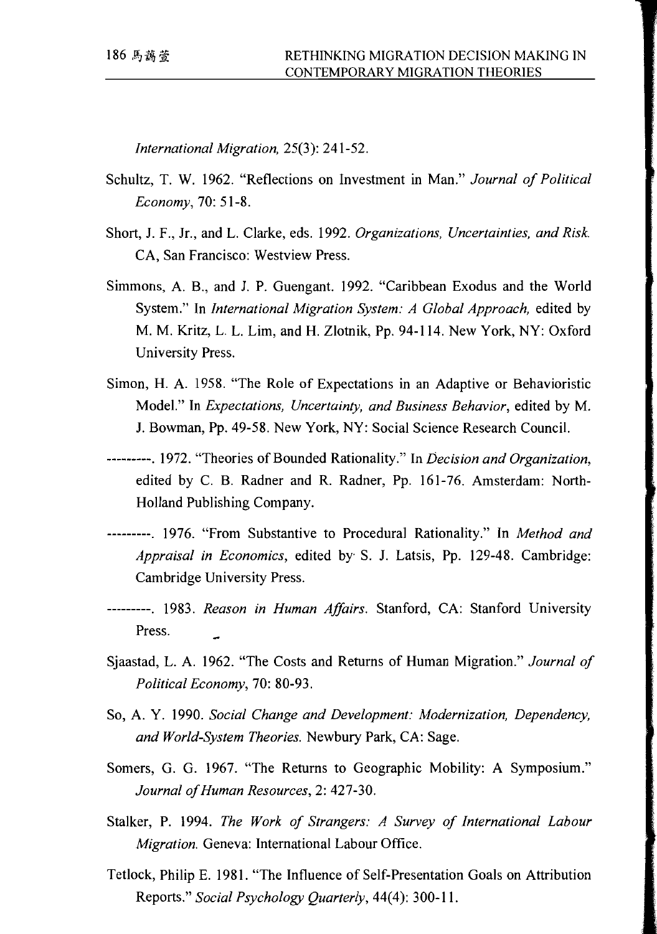International Migration, 25(3): 241-52.

- Schultz, T. W. 1962. "Reflections on Investment in Man." Journal of Political Economy, 70: 51-8.
- Short, J. F., Jr., and L. Clarke, eds. 1992. Organizations, Uncertainties, and Risk. CA, San Francisco: Westview Press.
- Simmons, A. B., and J. P. Guengant. 1992. "Caribbean Exodus and the World System." In International Migration System: A Global Approach, edited by M. M. Kritz, L. L. Lim, and H. Zlotnik, Pp. 94-114. New York, NY: Oxford University Press.
- Simon, H. A. 1958. "The Role of Expectations in an Adaptive or Behavioristic Model." In Expectations, Uncertainty, and Business Behavior, edited by M. J. Bowman, Pp. 49-58. New York, NY: Social Science Research Council.
- ---------. 1972. "Theories of Bounded Rationality." In Decision and Organization, edited by C. B. Radner and R. Radner, Pp. 161-76. Amsterdam: North-Holland Publishing Company.
- ---------. 1976. "From Substantive to Procedural Rationality." In Method and Appraisal in Economics, edited by S. J. Latsis, Pp. 129-48. Cambridge: Cambridge University Press.
- ---------. 1983. Reason in Human Affairs. Stanford, CA: Stanford University Press.
- Sjaastad, L. A. 1962. "The Costs and Returns of Human Migration." Journal of Political Economy, 70: 80-93.
- So, A. Y. 1990. Social Change and Development: Modernization, Dependency, and World-System Theories. Newbury Park, CA: Sage.
- Somers, G. G. 1967. "The Returns to Geographic Mobility: A Symposium." Journal of Human Resources, 2: 427-30.
- Stalker, P. 1994. The Work of Strangers: A Survey of International Labour Migration. Geneva: International Labour Office.
- Tetlock, Philip E. 1981. "The Influence of Self-Presentation Goals on Attribution Reports." Social Psychology Ouarterly, 44(4): 300-11.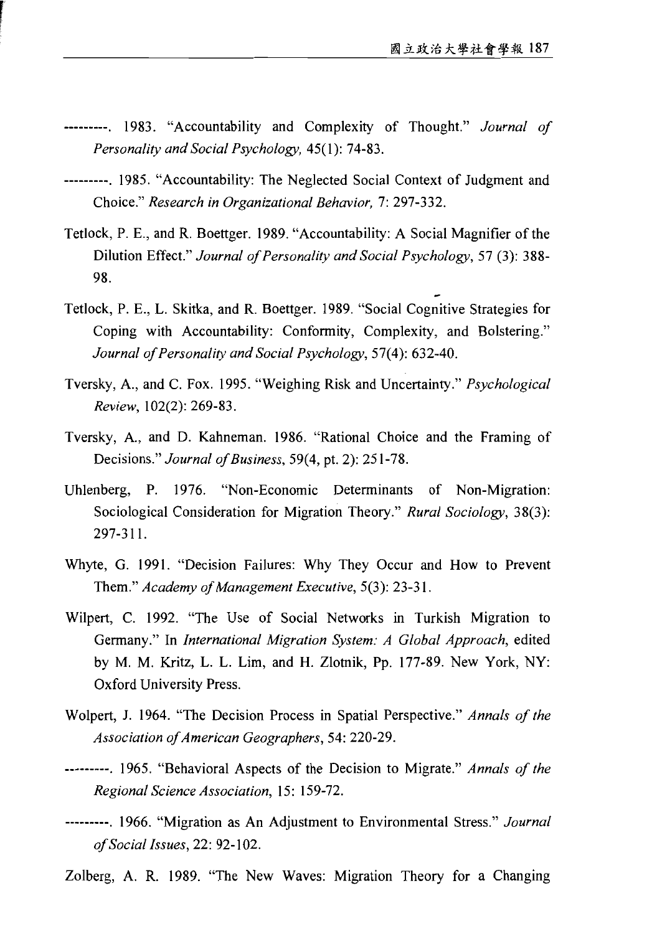- ---------. 1983. "Accountability and Complexity of Thought." Journal of Personality and Social Psychology, 45(1): 74-83.
- ---------. 1985. "Accountability: The Neglected Social Context of Judgment and Choice." Research in Organizational Behavior, 7: 297-332.
- Tetlock, P. E., and R. Boettger. 1989. "Accountability: A Social Magnifier of the Dilution Effect." Journal of Personality and Social Psychology, 57 (3): 388-98.
- Tetlock, P. E., L. Skitka, and R. Boettger. 1989. "Social Cognitive Strategies for Coping with Accountability: Conformity, Complexity, and Bolstering." Journal of Personality and Social Psychology, 57(4): 632-40.
- Tversky, A., and C. Fox. 1995. "Weighing Risk and Uncertainty." Psychological Review, 102(2): 269-83.
- Tversky, A., and D. Kahneman. 1986. "Rational Choice and the Framing of Decisions." Journal of Business, 59(4, pt. 2): 251-78.
- Uhlenberg, P. 1976. "Non-Economic Determinants of Non-Migration: Sociological Consideration for Migration Theory." Rural Sociology, 38(3): 297-311.
- Whyte, G. 1991. "Decision Failures: Why They Occur and How to Prevent Them." Academy of Management Executive, 5(3): 23-31.
- Wilpert, C. 1992. "The Use of Social Networks in Turkish Migration to Germany." In International Migration System: A Global Approach, edited by M. M. Kritz, L. L. Lim, and H. Zlotnik, Pp. 177-89. New York, NY: Oxford University Press.
- Wolpert, J. 1964. "The Decision Process in Spatial Perspective." Annals of the Association of American Geographers, 54: 220-29.
- ---------. 1965. "Behavioral Aspects of the Decision to Migrate." Annals of the Regional Science Association, 15: 159-72.
- ---------. 1966. "Migration as An Adjustment to Environmental Stress." Journal of Social Issues, 22: 92-102.
- Zolberg, A. R. 1989. "The New Waves: Migration Theory for a Changing